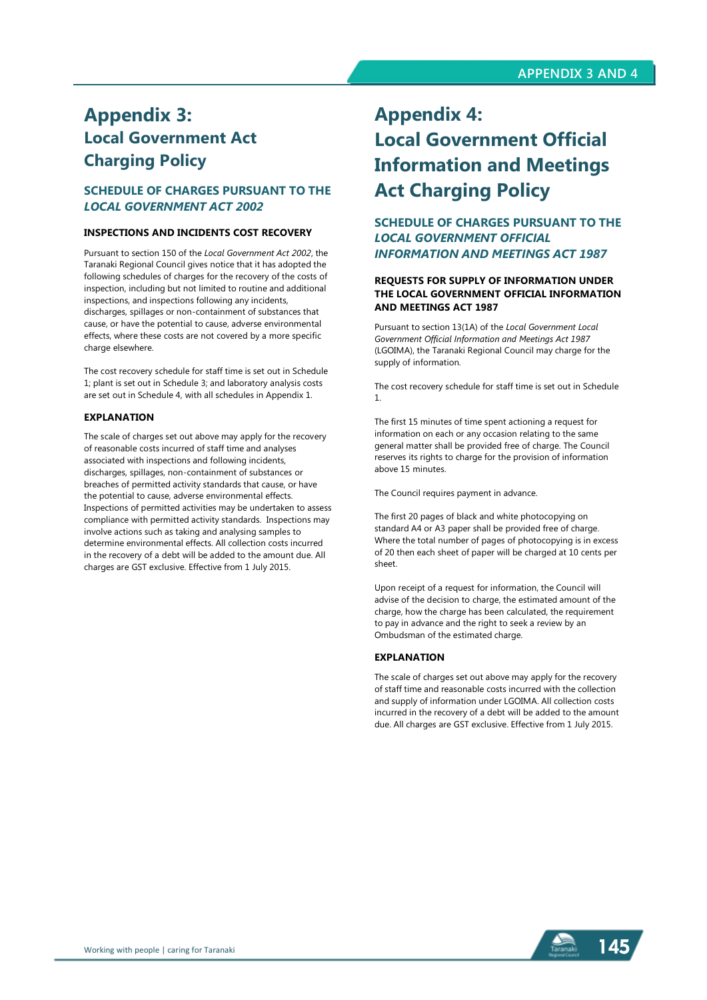# **Appendix 3: Local Government Act Charging Policy**

## **SCHEDULE OF CHARGES PURSUANT TO THE**  *LOCAL GOVERNMENT ACT 2002*

#### **INSPECTIONS AND INCIDENTS COST RECOVERY**

Pursuant to section 150 of the *Local Government Act 2002*, the Taranaki Regional Council gives notice that it has adopted the following schedules of charges for the recovery of the costs of inspection, including but not limited to routine and additional inspections, and inspections following any incidents, discharges, spillages or non-containment of substances that cause, or have the potential to cause, adverse environmental effects, where these costs are not covered by a more specific charge elsewhere.

The cost recovery schedule for staff time is set out in Schedule 1; plant is set out in Schedule 3; and laboratory analysis costs are set out in Schedule 4, with all schedules in Appendix 1.

#### **EXPLANATION**

The scale of charges set out above may apply for the recovery of reasonable costs incurred of staff time and analyses associated with inspections and following incidents, discharges, spillages, non-containment of substances or breaches of permitted activity standards that cause, or have the potential to cause, adverse environmental effects. Inspections of permitted activities may be undertaken to assess compliance with permitted activity standards. Inspections may involve actions such as taking and analysing samples to determine environmental effects. All collection costs incurred in the recovery of a debt will be added to the amount due. All charges are GST exclusive. Effective from 1 July 2015.

# **Appendix 4: Local Government Official Information and Meetings Act Charging Policy**

## **SCHEDULE OF CHARGES PURSUANT TO THE**  *LOCAL GOVERNMENT OFFICIAL INFORMATION AND MEETINGS ACT 1987*

#### **REQUESTS FOR SUPPLY OF INFORMATION UNDER THE LOCAL GOVERNMENT OFFICIAL INFORMATION AND MEETINGS ACT 1987**

Pursuant to section 13(1A) of the *Local Government Local Government Official Information and Meetings Act 1987* (LGOIMA), the Taranaki Regional Council may charge for the supply of information.

The cost recovery schedule for staff time is set out in Schedule 1.

The first 15 minutes of time spent actioning a request for information on each or any occasion relating to the same general matter shall be provided free of charge. The Council reserves its rights to charge for the provision of information above 15 minutes.

The Council requires payment in advance.

The first 20 pages of black and white photocopying on standard A4 or A3 paper shall be provided free of charge. Where the total number of pages of photocopying is in excess of 20 then each sheet of paper will be charged at 10 cents per sheet.

Upon receipt of a request for information, the Council will advise of the decision to charge, the estimated amount of the charge, how the charge has been calculated, the requirement to pay in advance and the right to seek a review by an Ombudsman of the estimated charge.

## **EXPLANATION**

The scale of charges set out above may apply for the recovery of staff time and reasonable costs incurred with the collection and supply of information under LGOIMA. All collection costs incurred in the recovery of a debt will be added to the amount due. All charges are GST exclusive. Effective from 1 July 2015.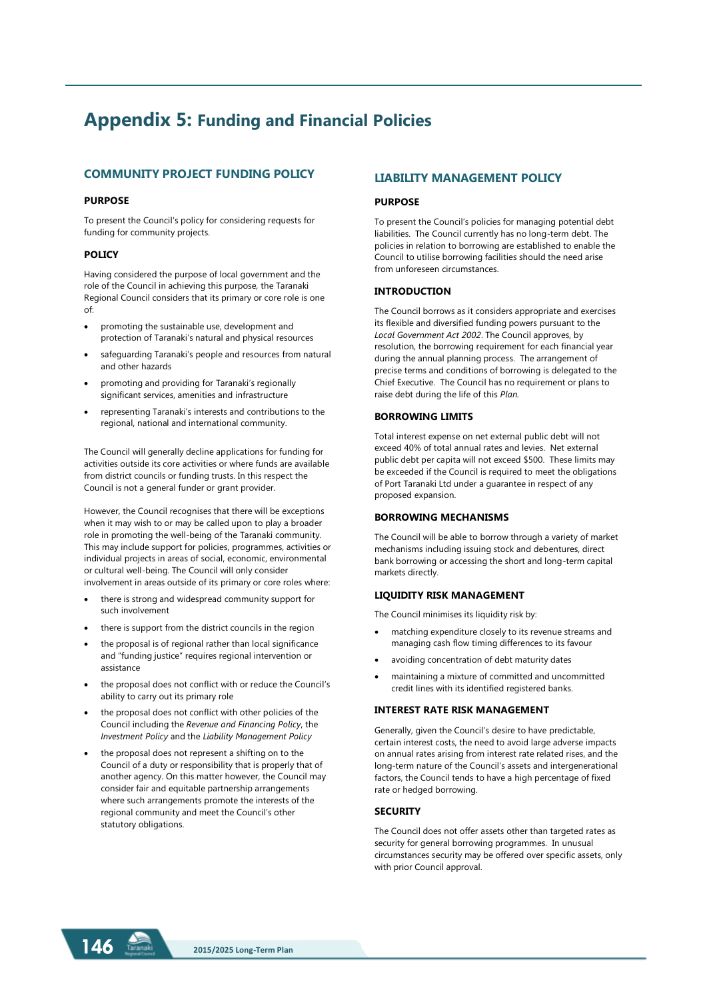# **Appendix 5: Funding and Financial Policies**

## **COMMUNITY PROJECT FUNDING POLICY**

#### **PURPOSE**

To present the Council's policy for considering requests for funding for community projects.

#### **POLICY**

Having considered the purpose of local government and the role of the Council in achieving this purpose, the Taranaki Regional Council considers that its primary or core role is one of:

- promoting the sustainable use, development and protection of Taranaki's natural and physical resources
- safeguarding Taranaki's people and resources from natural and other hazards
- promoting and providing for Taranaki's regionally significant services, amenities and infrastructure
- representing Taranaki's interests and contributions to the regional, national and international community.

The Council will generally decline applications for funding for activities outside its core activities or where funds are available from district councils or funding trusts. In this respect the Council is not a general funder or grant provider.

However, the Council recognises that there will be exceptions when it may wish to or may be called upon to play a broader role in promoting the well-being of the Taranaki community. This may include support for policies, programmes, activities or individual projects in areas of social, economic, environmental or cultural well-being. The Council will only consider involvement in areas outside of its primary or core roles where:

- there is strong and widespread community support for such involvement
- there is support from the district councils in the region
- the proposal is of regional rather than local significance and "funding justice" requires regional intervention or assistance
- the proposal does not conflict with or reduce the Council's ability to carry out its primary role
- the proposal does not conflict with other policies of the Council including the *Revenue and Financing Policy*, the *Investment Policy* and the *Liability Management Policy*
- the proposal does not represent a shifting on to the Council of a duty or responsibility that is properly that of another agency. On this matter however, the Council may consider fair and equitable partnership arrangements where such arrangements promote the interests of the regional community and meet the Council's other statutory obligations.

## **LIABILITY MANAGEMENT POLICY**

#### **PURPOSE**

To present the Council's policies for managing potential debt liabilities. The Council currently has no long-term debt. The policies in relation to borrowing are established to enable the Council to utilise borrowing facilities should the need arise from unforeseen circumstances.

#### **INTRODUCTION**

The Council borrows as it considers appropriate and exercises its flexible and diversified funding powers pursuant to the *Local Government Act 2002*. The Council approves, by resolution, the borrowing requirement for each financial year during the annual planning process. The arrangement of precise terms and conditions of borrowing is delegated to the Chief Executive. The Council has no requirement or plans to raise debt during the life of this *Plan.*

#### **BORROWING LIMITS**

Total interest expense on net external public debt will not exceed 40% of total annual rates and levies. Net external public debt per capita will not exceed \$500. These limits may be exceeded if the Council is required to meet the obligations of Port Taranaki Ltd under a guarantee in respect of any proposed expansion.

#### **BORROWING MECHANISMS**

The Council will be able to borrow through a variety of market mechanisms including issuing stock and debentures, direct bank borrowing or accessing the short and long-term capital markets directly.

#### **LIQUIDITY RISK MANAGEMENT**

The Council minimises its liquidity risk by:

- matching expenditure closely to its revenue streams and managing cash flow timing differences to its favour
- avoiding concentration of debt maturity dates
- maintaining a mixture of committed and uncommitted credit lines with its identified registered banks.

#### **INTEREST RATE RISK MANAGEMENT**

Generally, given the Council's desire to have predictable, certain interest costs, the need to avoid large adverse impacts on annual rates arising from interest rate related rises, and the long-term nature of the Council's assets and intergenerational factors, the Council tends to have a high percentage of fixed rate or hedged borrowing.

#### **SECURITY**

The Council does not offer assets other than targeted rates as security for general borrowing programmes. In unusual circumstances security may be offered over specific assets, only with prior Council approval.

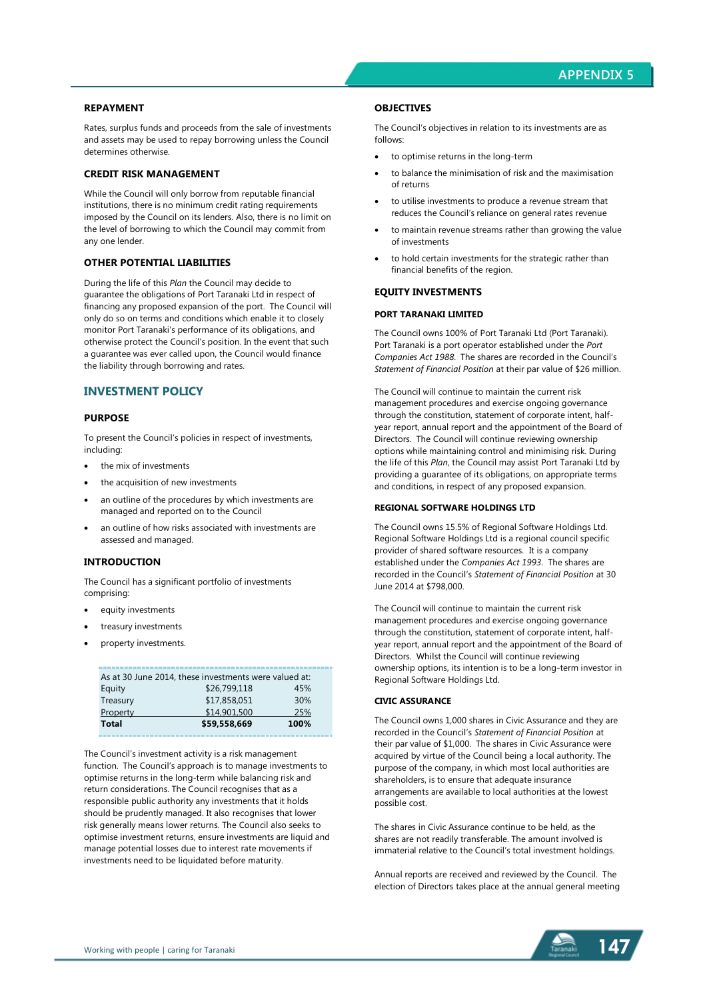#### **REPAYMENT**

Rates, surplus funds and proceeds from the sale of investments and assets may be used to repay borrowing unless the Council determines otherwise.

#### **CREDIT RISK MANAGEMENT**

While the Council will only borrow from reputable financial institutions, there is no minimum credit rating requirements imposed by the Council on its lenders. Also, there is no limit on the level of borrowing to which the Council may commit from any one lender.

#### **OTHER POTENTIAL LIABILITIES**

During the life of this *Plan* the Council may decide to guarantee the obligations of Port Taranaki Ltd in respect of financing any proposed expansion of the port. The Council will only do so on terms and conditions which enable it to closely monitor Port Taranaki's performance of its obligations, and otherwise protect the Council's position. In the event that such a guarantee was ever called upon, the Council would finance the liability through borrowing and rates.

#### **INVESTMENT POLICY**

#### **PURPOSE**

To present the Council's policies in respect of investments, including:

- the mix of investments
- the acquisition of new investments
- an outline of the procedures by which investments are managed and reported on to the Council
- an outline of how risks associated with investments are assessed and managed.

#### **INTRODUCTION**

The Council has a significant portfolio of investments comprising:

- equity investments
- treasury investments
- property investments.

| As at 30 June 2014, these investments were valued at: |              |      |  |
|-------------------------------------------------------|--------------|------|--|
| Equity                                                | \$26,799,118 | 45%  |  |
| Treasury                                              | \$17,858,051 | 30%  |  |
| Property                                              | \$14,901,500 | 25%  |  |
| <b>Total</b>                                          | \$59,558,669 | 100% |  |

The Council's investment activity is a risk management function. The Council's approach is to manage investments to optimise returns in the long-term while balancing risk and return considerations. The Council recognises that as a responsible public authority any investments that it holds should be prudently managed. It also recognises that lower risk generally means lower returns. The Council also seeks to optimise investment returns, ensure investments are liquid and manage potential losses due to interest rate movements if investments need to be liquidated before maturity.

#### **OBJECTIVES**

The Council's objectives in relation to its investments are as follows:

- to optimise returns in the long-term
- to balance the minimisation of risk and the maximisation of returns
- to utilise investments to produce a revenue stream that reduces the Council's reliance on general rates revenue
- to maintain revenue streams rather than growing the value of investments
- to hold certain investments for the strategic rather than financial benefits of the region.

#### **EQUITY INVESTMENTS**

#### **PORT TARANAKI LIMITED**

The Council owns 100% of Port Taranaki Ltd (Port Taranaki). Port Taranaki is a port operator established under the *Port Companies Act 1988*. The shares are recorded in the Council's *Statement of Financial Position* at their par value of \$26 million.

The Council will continue to maintain the current risk management procedures and exercise ongoing governance through the constitution, statement of corporate intent, halfyear report, annual report and the appointment of the Board of Directors. The Council will continue reviewing ownership options while maintaining control and minimising risk. During the life of this *Plan*, the Council may assist Port Taranaki Ltd by providing a guarantee of its obligations, on appropriate terms and conditions, in respect of any proposed expansion.

#### **REGIONAL SOFTWARE HOLDINGS LTD**

The Council owns 15.5% of Regional Software Holdings Ltd. Regional Software Holdings Ltd is a regional council specific provider of shared software resources. It is a company established under the *Companies Act 1993*. The shares are recorded in the Council's *Statement of Financial Position* at 30 June 2014 at \$798,000.

The Council will continue to maintain the current risk management procedures and exercise ongoing governance through the constitution, statement of corporate intent, halfyear report, annual report and the appointment of the Board of Directors. Whilst the Council will continue reviewing ownership options, its intention is to be a long-term investor in Regional Software Holdings Ltd.

#### **CIVIC ASSURANCE**

The Council owns 1,000 shares in Civic Assurance and they are recorded in the Council's *Statement of Financial Position* at their par value of \$1,000. The shares in Civic Assurance were acquired by virtue of the Council being a local authority. The purpose of the company, in which most local authorities are shareholders, is to ensure that adequate insurance arrangements are available to local authorities at the lowest possible cost.

The shares in Civic Assurance continue to be held, as the shares are not readily transferable. The amount involved is immaterial relative to the Council's total investment holdings.

Annual reports are received and reviewed by the Council. The election of Directors takes place at the annual general meeting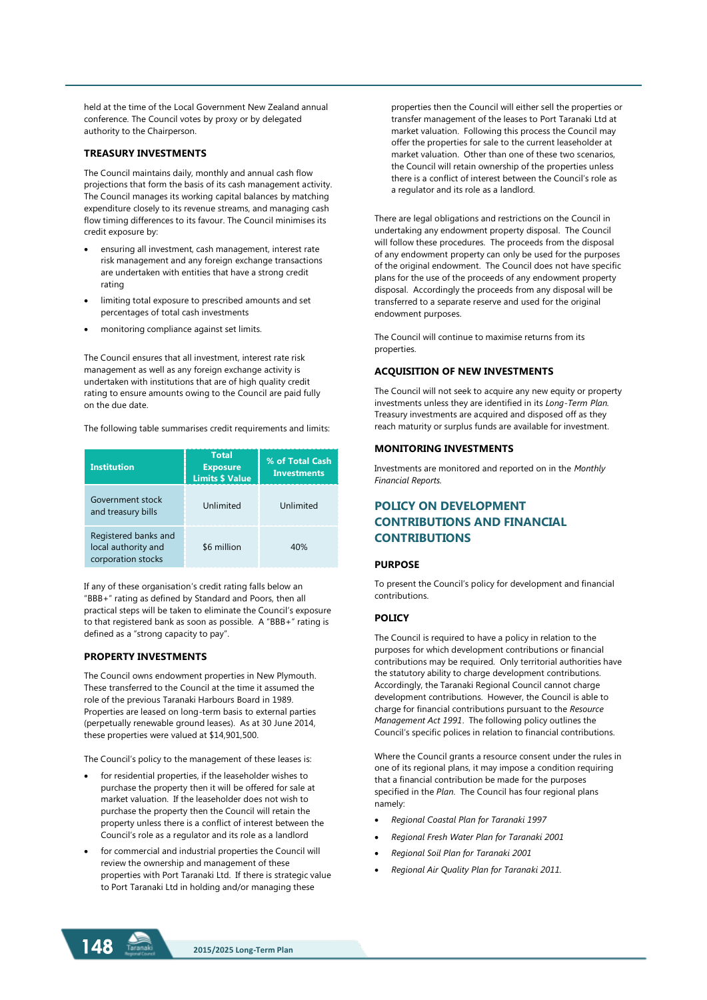held at the time of the Local Government New Zealand annual conference. The Council votes by proxy or by delegated authority to the Chairperson.

#### **TREASURY INVESTMENTS**

The Council maintains daily, monthly and annual cash flow projections that form the basis of its cash management activity. The Council manages its working capital balances by matching expenditure closely to its revenue streams, and managing cash flow timing differences to its favour. The Council minimises its credit exposure by:

- ensuring all investment, cash management, interest rate risk management and any foreign exchange transactions are undertaken with entities that have a strong credit rating
- limiting total exposure to prescribed amounts and set percentages of total cash investments
- monitoring compliance against set limits.

The Council ensures that all investment, interest rate risk management as well as any foreign exchange activity is undertaken with institutions that are of high quality credit rating to ensure amounts owing to the Council are paid fully on the due date.

The following table summarises credit requirements and limits:

| <b>Institution</b>                                                | <b>Total</b><br><b>Exposure</b><br><b>Limits \$ Value</b> | % of Total Cash<br><b>Investments</b> |
|-------------------------------------------------------------------|-----------------------------------------------------------|---------------------------------------|
| Government stock<br>and treasury bills                            | Unlimited                                                 | Unlimited                             |
| Registered banks and<br>local authority and<br>corporation stocks | \$6 million                                               | 40%                                   |

If any of these organisation's credit rating falls below an "BBB+" rating as defined by Standard and Poors, then all practical steps will be taken to eliminate the Council's exposure to that registered bank as soon as possible. A "BBB+" rating is defined as a "strong capacity to pay".

#### **PROPERTY INVESTMENTS**

The Council owns endowment properties in New Plymouth. These transferred to the Council at the time it assumed the role of the previous Taranaki Harbours Board in 1989. Properties are leased on long-term basis to external parties (perpetually renewable ground leases). As at 30 June 2014, these properties were valued at \$14,901,500.

The Council's policy to the management of these leases is:

- for residential properties, if the leaseholder wishes to purchase the property then it will be offered for sale at market valuation. If the leaseholder does not wish to purchase the property then the Council will retain the property unless there is a conflict of interest between the Council's role as a regulator and its role as a landlord
- for commercial and industrial properties the Council will review the ownership and management of these properties with Port Taranaki Ltd. If there is strategic value to Port Taranaki Ltd in holding and/or managing these

properties then the Council will either sell the properties or transfer management of the leases to Port Taranaki Ltd at market valuation. Following this process the Council may offer the properties for sale to the current leaseholder at market valuation. Other than one of these two scenarios, the Council will retain ownership of the properties unless there is a conflict of interest between the Council's role as a regulator and its role as a landlord.

There are legal obligations and restrictions on the Council in undertaking any endowment property disposal. The Council will follow these procedures. The proceeds from the disposal of any endowment property can only be used for the purposes of the original endowment. The Council does not have specific plans for the use of the proceeds of any endowment property disposal. Accordingly the proceeds from any disposal will be transferred to a separate reserve and used for the original endowment purposes.

The Council will continue to maximise returns from its properties.

#### **ACQUISITION OF NEW INVESTMENTS**

The Council will not seek to acquire any new equity or property investments unless they are identified in its *Long-Term Plan.* Treasury investments are acquired and disposed off as they reach maturity or surplus funds are available for investment.

#### **MONITORING INVESTMENTS**

Investments are monitored and reported on in the *Monthly Financial Reports.*

## **POLICY ON DEVELOPMENT CONTRIBUTIONS AND FINANCIAL CONTRIBUTIONS**

#### **PURPOSE**

To present the Council's policy for development and financial contributions.

#### **POLICY**

The Council is required to have a policy in relation to the purposes for which development contributions or financial contributions may be required. Only territorial authorities have the statutory ability to charge development contributions. Accordingly, the Taranaki Regional Council cannot charge development contributions. However, the Council is able to charge for financial contributions pursuant to the *Resource Management Act 1991*. The following policy outlines the Council's specific polices in relation to financial contributions.

Where the Council grants a resource consent under the rules in one of its regional plans, it may impose a condition requiring that a financial contribution be made for the purposes specified in the *Plan*. The Council has four regional plans namely:

- *Regional Coastal Plan for Taranaki 1997*
- *Regional Fresh Water Plan for Taranaki 2001*
- *Regional Soil Plan for Taranaki 2001*
- *Regional Air Quality Plan for Taranaki 2011.*

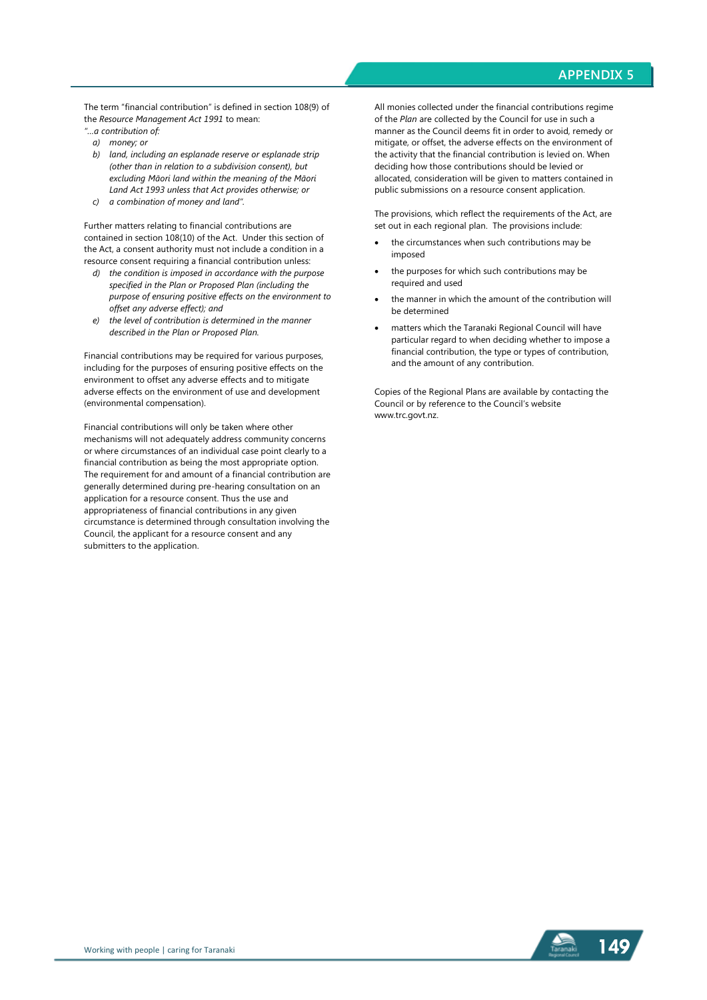The term "financial contribution" is defined in section 108(9) of the *Resource Management Act 1991* to mean:

- *"…a contribution of:*
- *a) money; or*
- *b) land, including an esplanade reserve or esplanade strip (other than in relation to a subdivision consent), but excluding Māori land within the meaning of the Māori Land Act 1993 unless that Act provides otherwise; or*
- *c) a combination of money and land".*

Further matters relating to financial contributions are contained in section 108(10) of the Act. Under this section of the Act, a consent authority must not include a condition in a resource consent requiring a financial contribution unless:

- *d) the condition is imposed in accordance with the purpose specified in the Plan or Proposed Plan (including the purpose of ensuring positive effects on the environment to offset any adverse effect); and*
- *e) the level of contribution is determined in the manner described in the Plan or Proposed Plan.*

Financial contributions may be required for various purposes, including for the purposes of ensuring positive effects on the environment to offset any adverse effects and to mitigate adverse effects on the environment of use and development (environmental compensation).

Financial contributions will only be taken where other mechanisms will not adequately address community concerns or where circumstances of an individual case point clearly to a financial contribution as being the most appropriate option. The requirement for and amount of a financial contribution are generally determined during pre-hearing consultation on an application for a resource consent. Thus the use and appropriateness of financial contributions in any given circumstance is determined through consultation involving the Council, the applicant for a resource consent and any submitters to the application.

All monies collected under the financial contributions regime of the *Plan* are collected by the Council for use in such a manner as the Council deems fit in order to avoid, remedy or mitigate, or offset, the adverse effects on the environment of the activity that the financial contribution is levied on. When deciding how those contributions should be levied or allocated, consideration will be given to matters contained in public submissions on a resource consent application.

The provisions, which reflect the requirements of the Act, are set out in each regional plan. The provisions include:

- the circumstances when such contributions may be imposed
- the purposes for which such contributions may be required and used
- the manner in which the amount of the contribution will be determined
- matters which the Taranaki Regional Council will have particular regard to when deciding whether to impose a financial contribution, the type or types of contribution, and the amount of any contribution.

Copies of the Regional Plans are available by contacting the Council or by reference to the Council's website www.trc.govt.nz.

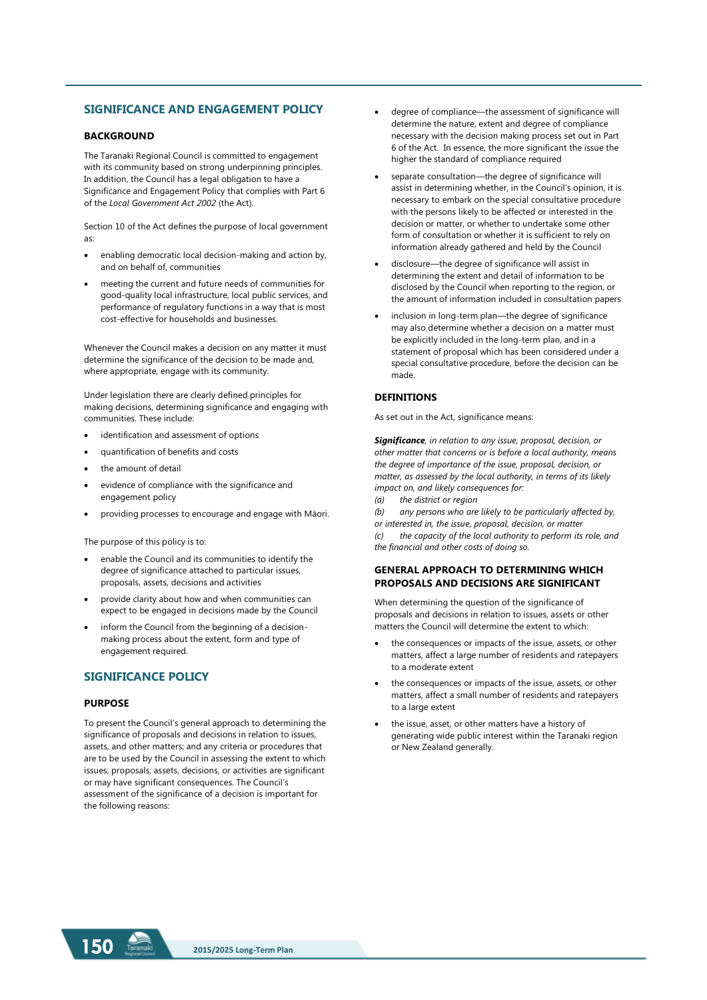### **SIGNIFICANCE AND ENGAGEMENT POLICY**

#### **BACKGROUND**

The Taranaki Regional Council is committed to engagement with its community based on strong underpinning principles. In addition, the Council has a legal obligation to have a Significance and Engagement Policy that complies with Part 6 of the *Local Government Act 2002* (the Act).

Section 10 of the Act defines the purpose of local government as:

- enabling democratic local decision-making and action by, and on behalf of, communities
- meeting the current and future needs of communities for good-quality local infrastructure, local public services, and performance of regulatory functions in a way that is most cost-effective for households and businesses.

Whenever the Council makes a decision on any matter it must determine the significance of the decision to be made and, where appropriate, engage with its community.

Under legislation there are clearly defined principles for making decisions, determining significance and engaging with communities. These include:

- identification and assessment of options
- quantification of benefits and costs
- the amount of detail
- evidence of compliance with the significance and engagement policy
- providing processes to encourage and engage with Māori.

The purpose of this policy is to:

- enable the Council and its communities to identify the degree of significance attached to particular issues, proposals, assets, decisions and activities
- provide clarity about how and when communities can expect to be engaged in decisions made by the Council
- inform the Council from the beginning of a decisionmaking process about the extent, form and type of engagement required.

#### **SIGNIFICANCE POLICY**

#### **PURPOSE**

To present the Council's general approach to determining the significance of proposals and decisions in relation to issues, assets, and other matters; and any criteria or procedures that are to be used by the Council in assessing the extent to which issues, proposals, assets, decisions, or activities are significant or may have significant consequences. The Council's assessment of the significance of a decision is important for the following reasons:

- degree of compliance—the assessment of significance will determine the nature, extent and degree of compliance necessary with the decision making process set out in Part 6 of the Act. In essence, the more significant the issue the higher the standard of compliance required
- separate consultation—the degree of significance will assist in determining whether, in the Council's opinion, it is necessary to embark on the special consultative procedure with the persons likely to be affected or interested in the decision or matter, or whether to undertake some other form of consultation or whether it is sufficient to rely on information already gathered and held by the Council
- disclosure—the degree of significance will assist in determining the extent and detail of information to be disclosed by the Council when reporting to the region, or the amount of information included in consultation papers
- inclusion in long-term plan—the degree of significance may also determine whether a decision on a matter must be explicitly included in the long-term plan, and in a statement of proposal which has been considered under a special consultative procedure, before the decision can be made.

#### **DEFINITIONS**

As set out in the Act, significance means:

*Significance, in relation to any issue, proposal, decision, or other matter that concerns or is before a local authority, means the degree of importance of the issue, proposal, decision, or matter, as assessed by the local authority, in terms of its likely impact on, and likely consequences for:* 

*(a) the district or region* 

*(b) any persons who are likely to be particularly affected by, or interested in, the issue, proposal, decision, or matter (c) the capacity of the local authority to perform its role, and the financial and other costs of doing so.*

#### **GENERAL APPROACH TO DETERMINING WHICH PROPOSALS AND DECISIONS ARE SIGNIFICANT**

When determining the question of the significance of proposals and decisions in relation to issues, assets or other matters the Council will determine the extent to which:

- the consequences or impacts of the issue, assets, or other matters, affect a large number of residents and ratepayers to a moderate extent
- the consequences or impacts of the issue, assets, or other matters, affect a small number of residents and ratepayers to a large extent
- the issue, asset, or other matters have a history of generating wide public interest within the Taranaki region or New Zealand generally.

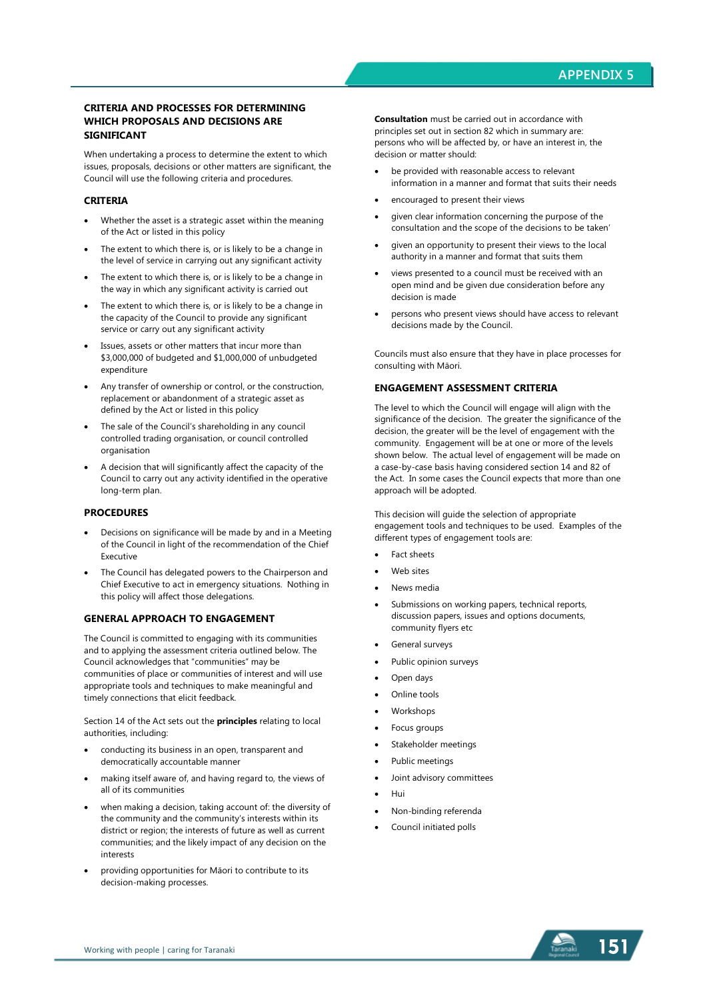#### **CRITERIA AND PROCESSES FOR DETERMINING WHICH PROPOSALS AND DECISIONS ARE SIGNIFICANT**

When undertaking a process to determine the extent to which issues, proposals, decisions or other matters are significant, the Council will use the following criteria and procedures.

#### **CRITERIA**

- Whether the asset is a strategic asset within the meaning of the Act or listed in this policy
- The extent to which there is, or is likely to be a change in the level of service in carrying out any significant activity
- The extent to which there is, or is likely to be a change in the way in which any significant activity is carried out
- The extent to which there is, or is likely to be a change in the capacity of the Council to provide any significant service or carry out any significant activity
- Issues, assets or other matters that incur more than \$3,000,000 of budgeted and \$1,000,000 of unbudgeted expenditure
- Any transfer of ownership or control, or the construction, replacement or abandonment of a strategic asset as defined by the Act or listed in this policy
- The sale of the Council's shareholding in any council controlled trading organisation, or council controlled organisation
- A decision that will significantly affect the capacity of the Council to carry out any activity identified in the operative long-term plan.

#### **PROCEDURES**

- Decisions on significance will be made by and in a Meeting of the Council in light of the recommendation of the Chief Executive
- The Council has delegated powers to the Chairperson and Chief Executive to act in emergency situations. Nothing in this policy will affect those delegations.

#### **GENERAL APPROACH TO ENGAGEMENT**

The Council is committed to engaging with its communities and to applying the assessment criteria outlined below. The Council acknowledges that "communities" may be communities of place or communities of interest and will use appropriate tools and techniques to make meaningful and timely connections that elicit feedback.

Section 14 of the Act sets out the **principles** relating to local authorities, including:

- conducting its business in an open, transparent and democratically accountable manner
- making itself aware of, and having regard to, the views of all of its communities
- when making a decision, taking account of: the diversity of the community and the community's interests within its district or region; the interests of future as well as current communities; and the likely impact of any decision on the interests
- providing opportunities for Māori to contribute to its decision-making processes.

**Consultation** must be carried out in accordance with principles set out in section 82 which in summary are: persons who will be affected by, or have an interest in, the decision or matter should:

- be provided with reasonable access to relevant information in a manner and format that suits their needs
- encouraged to present their views
- given clear information concerning the purpose of the consultation and the scope of the decisions to be taken'
- given an opportunity to present their views to the local authority in a manner and format that suits them
- views presented to a council must be received with an open mind and be given due consideration before any decision is made
- persons who present views should have access to relevant decisions made by the Council.

Councils must also ensure that they have in place processes for consulting with Māori.

### **ENGAGEMENT ASSESSMENT CRITERIA**

The level to which the Council will engage will align with the significance of the decision. The greater the significance of the decision, the greater will be the level of engagement with the community. Engagement will be at one or more of the levels shown below. The actual level of engagement will be made on a case-by-case basis having considered section 14 and 82 of the Act. In some cases the Council expects that more than one approach will be adopted.

This decision will guide the selection of appropriate engagement tools and techniques to be used. Examples of the different types of engagement tools are:

- Fact sheets
- Web sites
- News media
- Submissions on working papers, technical reports, discussion papers, issues and options documents, community flyers etc
- General surveys
- Public opinion surveys
- Open days
- Online tools
- Workshops
- Focus groups
- Stakeholder meetings
- Public meetings
- Joint advisory committees
- Hui
- Non-binding referenda
- Council initiated polls

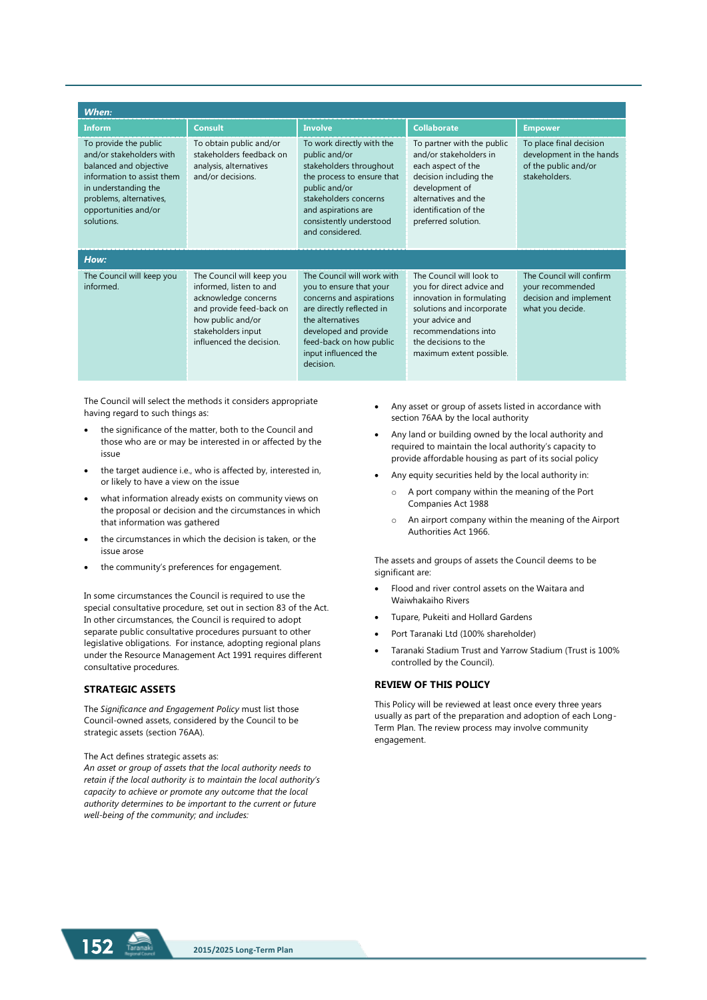| When:                                                                                                                                                                                              |                                                                                                                                                                                 |                                                                                                                                                                                                                             |                                                                                                                                                                                                                |                                                                                              |
|----------------------------------------------------------------------------------------------------------------------------------------------------------------------------------------------------|---------------------------------------------------------------------------------------------------------------------------------------------------------------------------------|-----------------------------------------------------------------------------------------------------------------------------------------------------------------------------------------------------------------------------|----------------------------------------------------------------------------------------------------------------------------------------------------------------------------------------------------------------|----------------------------------------------------------------------------------------------|
| <b>Inform</b>                                                                                                                                                                                      | <b>Consult</b>                                                                                                                                                                  | <b>Involve</b>                                                                                                                                                                                                              | <b>Collaborate</b>                                                                                                                                                                                             | <b>Empower</b>                                                                               |
| To provide the public<br>and/or stakeholders with<br>balanced and objective<br>information to assist them<br>in understanding the<br>problems, alternatives,<br>opportunities and/or<br>solutions. | To obtain public and/or<br>stakeholders feedback on<br>analysis, alternatives<br>and/or decisions.                                                                              | To work directly with the<br>public and/or<br>stakeholders throughout<br>the process to ensure that<br>public and/or<br>stakeholders concerns<br>and aspirations are<br>consistently understood<br>and considered           | To partner with the public<br>and/or stakeholders in<br>each aspect of the<br>decision including the<br>development of<br>alternatives and the<br>identification of the<br>preferred solution.                 | To place final decision<br>development in the hands<br>of the public and/or<br>stakeholders. |
| How:                                                                                                                                                                                               |                                                                                                                                                                                 |                                                                                                                                                                                                                             |                                                                                                                                                                                                                |                                                                                              |
| The Council will keep you<br>informed.                                                                                                                                                             | The Council will keep you<br>informed, listen to and<br>acknowledge concerns<br>and provide feed-back on<br>how public and/or<br>stakeholders input<br>influenced the decision. | The Council will work with<br>you to ensure that your<br>concerns and aspirations<br>are directly reflected in<br>the alternatives<br>developed and provide<br>feed-back on how public<br>input influenced the<br>decision. | The Council will look to<br>you for direct advice and<br>innovation in formulating<br>solutions and incorporate<br>your advice and<br>recommendations into<br>the decisions to the<br>maximum extent possible. | The Council will confirm<br>your recommended<br>decision and implement<br>what you decide.   |

The Council will select the methods it considers appropriate having regard to such things as:

- the significance of the matter, both to the Council and those who are or may be interested in or affected by the issue
- the target audience i.e., who is affected by, interested in, or likely to have a view on the issue
- what information already exists on community views on the proposal or decision and the circumstances in which that information was gathered
- the circumstances in which the decision is taken, or the issue arose
- the community's preferences for engagement.

In some circumstances the Council is required to use the special consultative procedure, set out in section 83 of the Act. In other circumstances, the Council is required to adopt separate public consultative procedures pursuant to other legislative obligations. For instance, adopting regional plans under the Resource Management Act 1991 requires different consultative procedures.

#### **STRATEGIC ASSETS**

The *Significance and Engagement Policy* must list those Council-owned assets, considered by the Council to be strategic assets (section 76AA).

#### The Act defines strategic assets as:

*An asset or group of assets that the local authority needs to retain if the local authority is to maintain the local authority's capacity to achieve or promote any outcome that the local authority determines to be important to the current or future well-being of the community; and includes:* 

- Any asset or group of assets listed in accordance with section 76AA by the local authority
- Any land or building owned by the local authority and required to maintain the local authority's capacity to provide affordable housing as part of its social policy
- Any equity securities held by the local authority in:
	- o A port company within the meaning of the Port Companies Act 1988
	- o An airport company within the meaning of the Airport Authorities Act 1966.

The assets and groups of assets the Council deems to be significant are:

- Flood and river control assets on the Waitara and Waiwhakaiho Rivers
- Tupare, Pukeiti and Hollard Gardens
- Port Taranaki Ltd (100% shareholder)
- Taranaki Stadium Trust and Yarrow Stadium (Trust is 100% controlled by the Council).

## **REVIEW OF THIS POLICY**

This Policy will be reviewed at least once every three years usually as part of the preparation and adoption of each Long-Term Plan. The review process may involve community engagement.

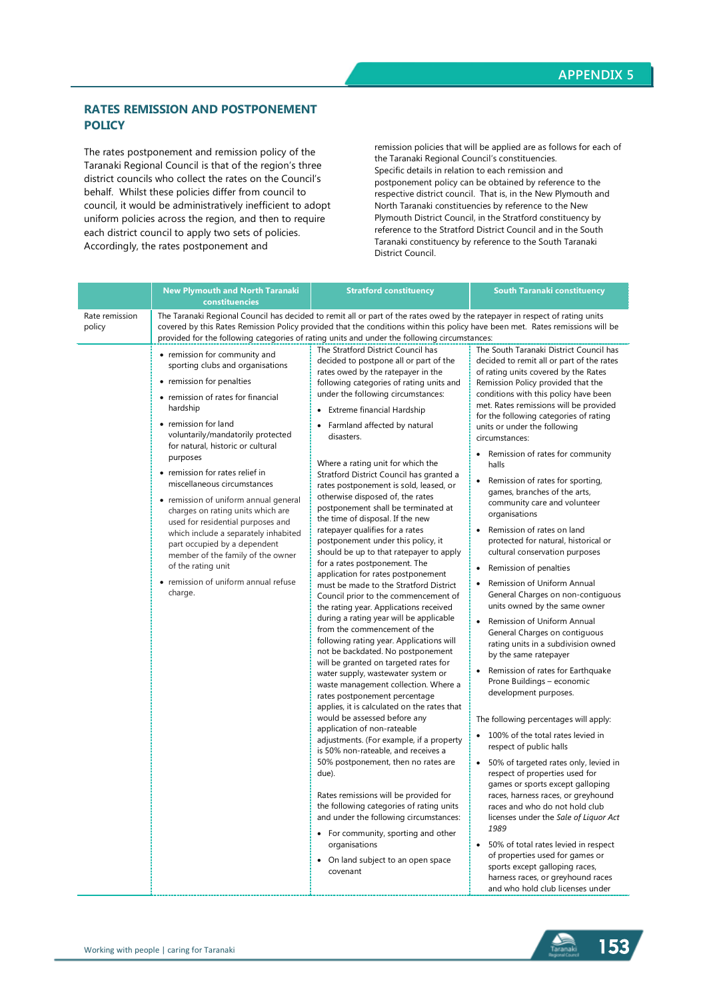## **RATES REMISSION AND POSTPONEMENT POLICY**

The rates postponement and remission policy of the Taranaki Regional Council is that of the region's three district councils who collect the rates on the Council's behalf. Whilst these policies differ from council to council, it would be administratively inefficient to adopt uniform policies across the region, and then to require each district council to apply two sets of policies. Accordingly, the rates postponement and

remission policies that will be applied are as follows for each of the Taranaki Regional Council's constituencies. Specific details in relation to each remission and postponement policy can be obtained by reference to the respective district council. That is, in the New Plymouth and North Taranaki constituencies by reference to the New Plymouth District Council, in the Stratford constituency by reference to the Stratford District Council and in the South Taranaki constituency by reference to the South Taranaki District Council.

|                          | <b>New Plymouth and North Taranaki</b><br>constituencies                                                                                                                                                                                                                                                                                                                                                                                                                                                                                                                                                                                  | <b>Stratford constituency</b>                                                                                                                                                                                                                                                                                                                                                                                                                                                                                                                                                                                                                                                                                                                                                                                                                                                                                                                                                                                                                                                                                                                                                                                                                                                                                                                                                                                                                                                                                                                                                                                                                                       | South Taranaki constituency                                                                                                                                                                                                                                                                                                                                                                                                                                                                                                                                                                                                                                                                                                                                                                                                                                                                                                                                                                                                                                                                                                                                                                                                                                                                                                                                                                                                                                                                                                                                                                                                |
|--------------------------|-------------------------------------------------------------------------------------------------------------------------------------------------------------------------------------------------------------------------------------------------------------------------------------------------------------------------------------------------------------------------------------------------------------------------------------------------------------------------------------------------------------------------------------------------------------------------------------------------------------------------------------------|---------------------------------------------------------------------------------------------------------------------------------------------------------------------------------------------------------------------------------------------------------------------------------------------------------------------------------------------------------------------------------------------------------------------------------------------------------------------------------------------------------------------------------------------------------------------------------------------------------------------------------------------------------------------------------------------------------------------------------------------------------------------------------------------------------------------------------------------------------------------------------------------------------------------------------------------------------------------------------------------------------------------------------------------------------------------------------------------------------------------------------------------------------------------------------------------------------------------------------------------------------------------------------------------------------------------------------------------------------------------------------------------------------------------------------------------------------------------------------------------------------------------------------------------------------------------------------------------------------------------------------------------------------------------|----------------------------------------------------------------------------------------------------------------------------------------------------------------------------------------------------------------------------------------------------------------------------------------------------------------------------------------------------------------------------------------------------------------------------------------------------------------------------------------------------------------------------------------------------------------------------------------------------------------------------------------------------------------------------------------------------------------------------------------------------------------------------------------------------------------------------------------------------------------------------------------------------------------------------------------------------------------------------------------------------------------------------------------------------------------------------------------------------------------------------------------------------------------------------------------------------------------------------------------------------------------------------------------------------------------------------------------------------------------------------------------------------------------------------------------------------------------------------------------------------------------------------------------------------------------------------------------------------------------------------|
| Rate remission<br>policy |                                                                                                                                                                                                                                                                                                                                                                                                                                                                                                                                                                                                                                           | The Taranaki Regional Council has decided to remit all or part of the rates owed by the ratepayer in respect of rating units<br>covered by this Rates Remission Policy provided that the conditions within this policy have been met. Rates remissions will be<br>provided for the following categories of rating units and under the following circumstances:                                                                                                                                                                                                                                                                                                                                                                                                                                                                                                                                                                                                                                                                                                                                                                                                                                                                                                                                                                                                                                                                                                                                                                                                                                                                                                      |                                                                                                                                                                                                                                                                                                                                                                                                                                                                                                                                                                                                                                                                                                                                                                                                                                                                                                                                                                                                                                                                                                                                                                                                                                                                                                                                                                                                                                                                                                                                                                                                                            |
|                          | • remission for community and<br>sporting clubs and organisations<br>• remission for penalties<br>• remission of rates for financial<br>hardship<br>• remission for land<br>voluntarily/mandatorily protected<br>for natural, historic or cultural<br>purposes<br>• remission for rates relief in<br>miscellaneous circumstances<br>• remission of uniform annual general<br>charges on rating units which are<br>used for residential purposes and<br>which include a separately inhabited<br>part occupied by a dependent<br>member of the family of the owner<br>of the rating unit<br>• remission of uniform annual refuse<br>charge. | The Stratford District Council has<br>decided to postpone all or part of the<br>rates owed by the ratepayer in the<br>following categories of rating units and<br>under the following circumstances:<br>• Extreme financial Hardship<br>• Farmland affected by natural<br>disasters.<br>Where a rating unit for which the<br>Stratford District Council has granted a<br>rates postponement is sold, leased, or<br>otherwise disposed of, the rates<br>postponement shall be terminated at<br>the time of disposal. If the new<br>ratepayer qualifies for a rates<br>postponement under this policy, it<br>should be up to that ratepayer to apply<br>for a rates postponement. The<br>application for rates postponement<br>must be made to the Stratford District<br>Council prior to the commencement of<br>the rating year. Applications received<br>during a rating year will be applicable<br>from the commencement of the<br>following rating year. Applications will<br>not be backdated. No postponement<br>will be granted on targeted rates for<br>water supply, wastewater system or<br>waste management collection. Where a<br>rates postponement percentage<br>applies, it is calculated on the rates that<br>would be assessed before any<br>application of non-rateable<br>adjustments. (For example, if a property<br>is 50% non-rateable, and receives a<br>50% postponement, then no rates are<br>due).<br>Rates remissions will be provided for<br>the following categories of rating units<br>and under the following circumstances:<br>• For community, sporting and other<br>organisations<br>• On land subject to an open space<br>covenant | The South Taranaki District Council has<br>decided to remit all or part of the rates<br>of rating units covered by the Rates<br>Remission Policy provided that the<br>conditions with this policy have been<br>met. Rates remissions will be provided<br>for the following categories of rating<br>units or under the following<br>circumstances:<br>• Remission of rates for community<br>halls<br>$\bullet$<br>Remission of rates for sporting,<br>games, branches of the arts,<br>community care and volunteer<br>organisations<br>Remission of rates on land<br>$\bullet$<br>protected for natural, historical or<br>cultural conservation purposes<br>Remission of penalties<br>Remission of Uniform Annual<br>$\bullet$<br>General Charges on non-contiguous<br>units owned by the same owner<br>Remission of Uniform Annual<br>$\bullet$<br>General Charges on contiguous<br>rating units in a subdivision owned<br>by the same ratepayer<br>Remission of rates for Earthquake<br>$\bullet$<br>Prone Buildings - economic<br>development purposes.<br>The following percentages will apply:<br>100% of the total rates levied in<br>respect of public halls<br>50% of targeted rates only, levied in<br>$\bullet$<br>respect of properties used for<br>games or sports except galloping<br>races, harness races, or greyhound<br>races and who do not hold club<br>licenses under the Sale of Liquor Act<br>1989<br>50% of total rates levied in respect<br>$\bullet$<br>of properties used for games or<br>sports except galloping races,<br>harness races, or greyhound races<br>and who hold club licenses under |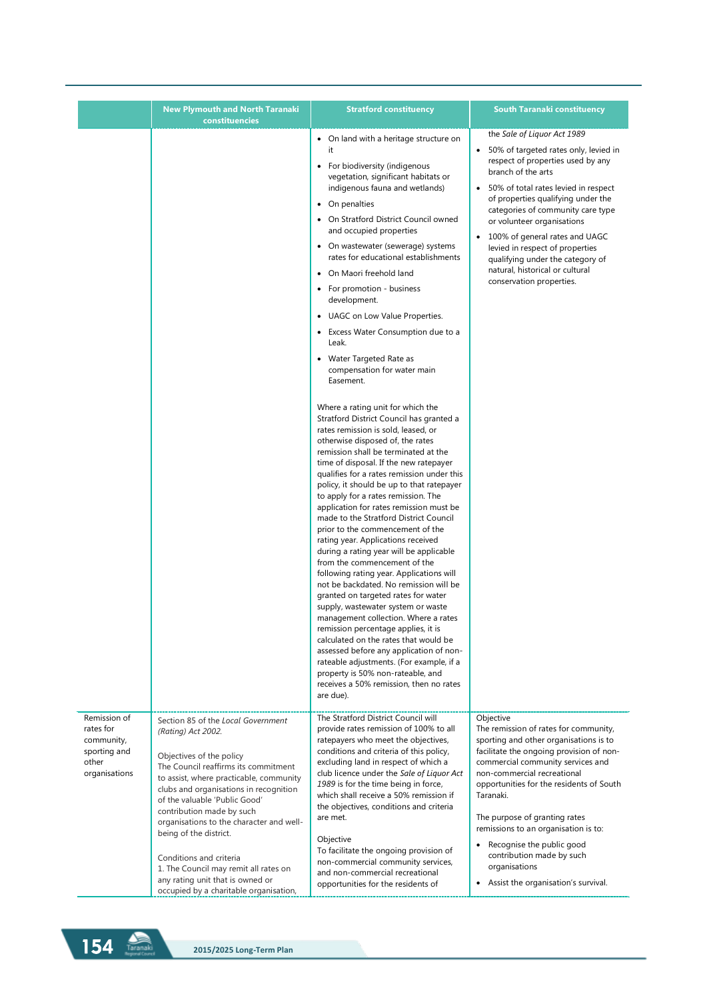|                                                                                   | <b>New Plymouth and North Taranaki</b><br>constituencies                                                                                                                                                                                                                                                                                                                                                                                                      | <b>Stratford constituency</b>                                                                                                                                                                                                                                                                                                                                                                                                                                                                                                                                                                                                                                                                                                                                                                                                                                                                                                                                                                                                                                                                                                                                                                                                                                                                                                                                                                                                                                                                                                                                                                                                                                                                      | <b>South Taranaki constituency</b>                                                                                                                                                                                                                                                                                                                                                                                                                                 |
|-----------------------------------------------------------------------------------|---------------------------------------------------------------------------------------------------------------------------------------------------------------------------------------------------------------------------------------------------------------------------------------------------------------------------------------------------------------------------------------------------------------------------------------------------------------|----------------------------------------------------------------------------------------------------------------------------------------------------------------------------------------------------------------------------------------------------------------------------------------------------------------------------------------------------------------------------------------------------------------------------------------------------------------------------------------------------------------------------------------------------------------------------------------------------------------------------------------------------------------------------------------------------------------------------------------------------------------------------------------------------------------------------------------------------------------------------------------------------------------------------------------------------------------------------------------------------------------------------------------------------------------------------------------------------------------------------------------------------------------------------------------------------------------------------------------------------------------------------------------------------------------------------------------------------------------------------------------------------------------------------------------------------------------------------------------------------------------------------------------------------------------------------------------------------------------------------------------------------------------------------------------------------|--------------------------------------------------------------------------------------------------------------------------------------------------------------------------------------------------------------------------------------------------------------------------------------------------------------------------------------------------------------------------------------------------------------------------------------------------------------------|
|                                                                                   |                                                                                                                                                                                                                                                                                                                                                                                                                                                               | • On land with a heritage structure on<br>it<br>• For biodiversity (indigenous<br>vegetation, significant habitats or<br>indigenous fauna and wetlands)<br>• On penalties<br>• On Stratford District Council owned<br>and occupied properties<br>• On wastewater (sewerage) systems<br>rates for educational establishments<br>On Maori freehold land<br>$\bullet$<br>For promotion - business<br>٠<br>development.<br>• UAGC on Low Value Properties.<br>Excess Water Consumption due to a<br>$\bullet$<br>Leak.<br>• Water Targeted Rate as<br>compensation for water main<br>Easement.<br>Where a rating unit for which the<br>Stratford District Council has granted a<br>rates remission is sold, leased, or<br>otherwise disposed of, the rates<br>remission shall be terminated at the<br>time of disposal. If the new ratepayer<br>qualifies for a rates remission under this<br>policy, it should be up to that ratepayer<br>to apply for a rates remission. The<br>application for rates remission must be<br>made to the Stratford District Council<br>prior to the commencement of the<br>rating year. Applications received<br>during a rating year will be applicable<br>from the commencement of the<br>following rating year. Applications will<br>not be backdated. No remission will be<br>granted on targeted rates for water<br>supply, wastewater system or waste<br>management collection. Where a rates<br>remission percentage applies, it is<br>calculated on the rates that would be<br>assessed before any application of non-<br>rateable adjustments. (For example, if a<br>property is 50% non-rateable, and<br>receives a 50% remission, then no rates<br>are due). | the Sale of Liguor Act 1989<br>• 50% of targeted rates only, levied in<br>respect of properties used by any<br>branch of the arts<br>• 50% of total rates levied in respect<br>of properties qualifying under the<br>categories of community care type<br>or volunteer organisations<br>• 100% of general rates and UAGC<br>levied in respect of properties<br>qualifying under the category of<br>natural, historical or cultural<br>conservation properties.     |
| Remission of<br>rates for<br>community,<br>sporting and<br>other<br>organisations | Section 85 of the Local Government<br>(Rating) Act 2002.<br>Objectives of the policy<br>The Council reaffirms its commitment<br>to assist, where practicable, community<br>clubs and organisations in recognition<br>of the valuable 'Public Good'<br>contribution made by such<br>organisations to the character and well-<br>being of the district.<br>Conditions and criteria<br>1. The Council may remit all rates on<br>any rating unit that is owned or | The Stratford District Council will<br>provide rates remission of 100% to all<br>ratepayers who meet the objectives,<br>conditions and criteria of this policy,<br>excluding land in respect of which a<br>club licence under the Sale of Liquor Act<br>1989 is for the time being in force,<br>which shall receive a 50% remission if<br>the objectives, conditions and criteria<br>are met.<br>Objective<br>To facilitate the ongoing provision of<br>non-commercial community services,<br>and non-commercial recreational                                                                                                                                                                                                                                                                                                                                                                                                                                                                                                                                                                                                                                                                                                                                                                                                                                                                                                                                                                                                                                                                                                                                                                      | Objective<br>The remission of rates for community,<br>sporting and other organisations is to<br>facilitate the ongoing provision of non-<br>commercial community services and<br>non-commercial recreational<br>opportunities for the residents of South<br>Taranaki.<br>The purpose of granting rates<br>remissions to an organisation is to:<br>Recognise the public good<br>contribution made by such<br>organisations<br>• Assist the organisation's survival. |

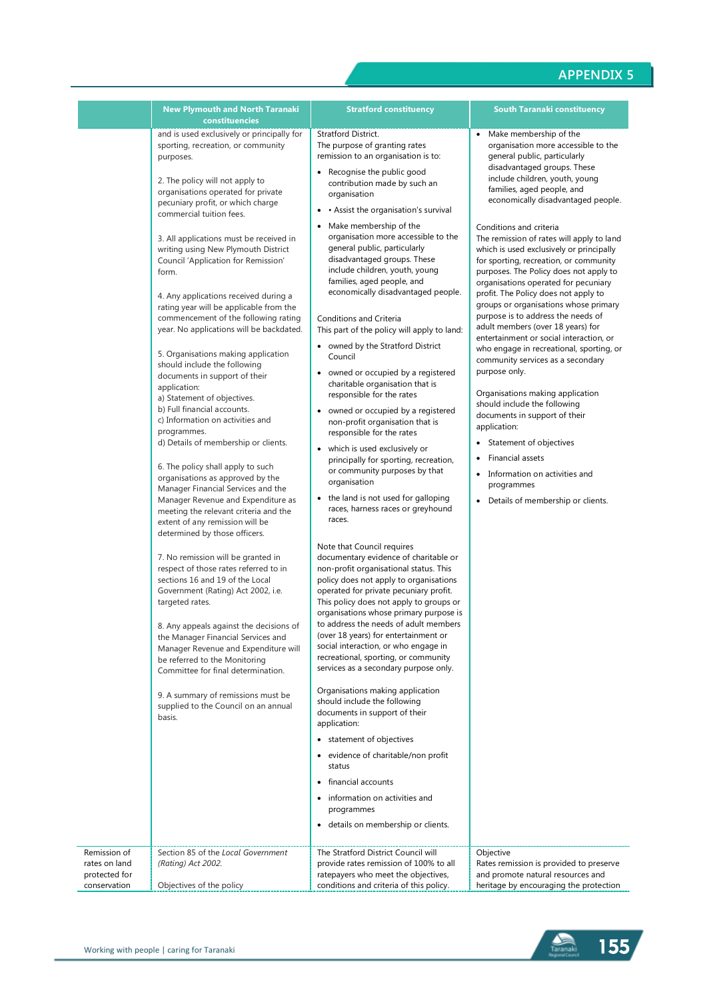|                                                                | <b>New Plymouth and North Taranaki</b><br>constituencies                                                                                                                                                                                                                                                                                                                                                                                                                                                                                                                                                                                                                                                                                                                                                                                                                                                                                                                                                                                                                                                                                                                                                                                                                                                                                                                                                                                                                                                                                                                | <b>Stratford constituency</b>                                                                                                                                                                                                                                                                                                                                                                                                                                                                                                                                                                                                                                                                                                                                                                                                                                                                                                                                                                                                                                                                                                                                                                                                                                                                                                                                                                                                                                                                                                                                                                                                                                                                                                                                                                                                                                                              | <b>South Taranaki constituency</b>                                                                                                                                                                                                                                                                                                                                                                                                                                                                                                                                                                                                                                                                                                                                                                                                                                                                                                                                                                                                                               |
|----------------------------------------------------------------|-------------------------------------------------------------------------------------------------------------------------------------------------------------------------------------------------------------------------------------------------------------------------------------------------------------------------------------------------------------------------------------------------------------------------------------------------------------------------------------------------------------------------------------------------------------------------------------------------------------------------------------------------------------------------------------------------------------------------------------------------------------------------------------------------------------------------------------------------------------------------------------------------------------------------------------------------------------------------------------------------------------------------------------------------------------------------------------------------------------------------------------------------------------------------------------------------------------------------------------------------------------------------------------------------------------------------------------------------------------------------------------------------------------------------------------------------------------------------------------------------------------------------------------------------------------------------|--------------------------------------------------------------------------------------------------------------------------------------------------------------------------------------------------------------------------------------------------------------------------------------------------------------------------------------------------------------------------------------------------------------------------------------------------------------------------------------------------------------------------------------------------------------------------------------------------------------------------------------------------------------------------------------------------------------------------------------------------------------------------------------------------------------------------------------------------------------------------------------------------------------------------------------------------------------------------------------------------------------------------------------------------------------------------------------------------------------------------------------------------------------------------------------------------------------------------------------------------------------------------------------------------------------------------------------------------------------------------------------------------------------------------------------------------------------------------------------------------------------------------------------------------------------------------------------------------------------------------------------------------------------------------------------------------------------------------------------------------------------------------------------------------------------------------------------------------------------------------------------------|------------------------------------------------------------------------------------------------------------------------------------------------------------------------------------------------------------------------------------------------------------------------------------------------------------------------------------------------------------------------------------------------------------------------------------------------------------------------------------------------------------------------------------------------------------------------------------------------------------------------------------------------------------------------------------------------------------------------------------------------------------------------------------------------------------------------------------------------------------------------------------------------------------------------------------------------------------------------------------------------------------------------------------------------------------------|
|                                                                | and is used exclusively or principally for<br>sporting, recreation, or community<br>purposes.<br>2. The policy will not apply to<br>organisations operated for private<br>pecuniary profit, or which charge<br>commercial tuition fees.<br>3. All applications must be received in<br>writing using New Plymouth District<br>Council 'Application for Remission'<br>form.<br>4. Any applications received during a<br>rating year will be applicable from the<br>commencement of the following rating<br>year. No applications will be backdated.<br>5. Organisations making application<br>should include the following<br>documents in support of their<br>application:<br>a) Statement of objectives.<br>b) Full financial accounts.<br>c) Information on activities and<br>programmes.<br>d) Details of membership or clients.<br>6. The policy shall apply to such<br>organisations as approved by the<br>Manager Financial Services and the<br>Manager Revenue and Expenditure as<br>meeting the relevant criteria and the<br>extent of any remission will be<br>determined by those officers.<br>7. No remission will be granted in<br>respect of those rates referred to in<br>sections 16 and 19 of the Local<br>Government (Rating) Act 2002, i.e.<br>targeted rates.<br>8. Any appeals against the decisions of<br>the Manager Financial Services and<br>Manager Revenue and Expenditure will<br>be referred to the Monitoring<br>Committee for final determination.<br>9. A summary of remissions must be<br>supplied to the Council on an annual<br>basis. | Stratford District.<br>The purpose of granting rates<br>remission to an organisation is to:<br>• Recognise the public good<br>contribution made by such an<br>organisation<br>• Assist the organisation's survival<br>٠<br>Make membership of the<br>$\bullet$<br>organisation more accessible to the<br>general public, particularly<br>disadvantaged groups. These<br>include children, youth, young<br>families, aged people, and<br>economically disadvantaged people.<br>Conditions and Criteria<br>This part of the policy will apply to land:<br>• owned by the Stratford District<br>Council<br>owned or occupied by a registered<br>$\bullet$<br>charitable organisation that is<br>responsible for the rates<br>owned or occupied by a registered<br>$\bullet$<br>non-profit organisation that is<br>responsible for the rates<br>which is used exclusively or<br>principally for sporting, recreation,<br>or community purposes by that<br>organisation<br>the land is not used for galloping<br>$\bullet$<br>races, harness races or greyhound<br>races.<br>Note that Council requires<br>documentary evidence of charitable or<br>non-profit organisational status. This<br>policy does not apply to organisations<br>operated for private pecuniary profit.<br>This policy does not apply to groups or<br>organisations whose primary purpose is<br>to address the needs of adult members<br>(over 18 years) for entertainment or<br>social interaction, or who engage in<br>recreational, sporting, or community<br>services as a secondary purpose only.<br>Organisations making application<br>should include the following<br>documents in support of their<br>application:<br>• statement of objectives<br>evidence of charitable/non profit<br>status<br>financial accounts<br>٠<br>information on activities and<br>programmes<br>• details on membership or clients. | Make membership of the<br>organisation more accessible to the<br>general public, particularly<br>disadvantaged groups. These<br>include children, youth, young<br>families, aged people, and<br>economically disadvantaged people.<br>Conditions and criteria<br>The remission of rates will apply to land<br>which is used exclusively or principally<br>for sporting, recreation, or community<br>purposes. The Policy does not apply to<br>organisations operated for pecuniary<br>profit. The Policy does not apply to<br>groups or organisations whose primary<br>purpose is to address the needs of<br>adult members (over 18 years) for<br>entertainment or social interaction, or<br>who engage in recreational, sporting, or<br>community services as a secondary<br>purpose only.<br>Organisations making application<br>should include the following<br>documents in support of their<br>application:<br>Statement of objectives<br>Financial assets<br>Information on activities and<br>programmes<br>Details of membership or clients.<br>$\bullet$ |
| Remission of<br>rates on land<br>protected for<br>conservation | Section 85 of the Local Government<br>(Rating) Act 2002.<br>Objectives of the policy                                                                                                                                                                                                                                                                                                                                                                                                                                                                                                                                                                                                                                                                                                                                                                                                                                                                                                                                                                                                                                                                                                                                                                                                                                                                                                                                                                                                                                                                                    | The Stratford District Council will<br>provide rates remission of 100% to all<br>ratepayers who meet the objectives,<br>conditions and criteria of this policy.                                                                                                                                                                                                                                                                                                                                                                                                                                                                                                                                                                                                                                                                                                                                                                                                                                                                                                                                                                                                                                                                                                                                                                                                                                                                                                                                                                                                                                                                                                                                                                                                                                                                                                                            | Objective<br>Rates remission is provided to preserve<br>and promote natural resources and<br>heritage by encouraging the protection                                                                                                                                                                                                                                                                                                                                                                                                                                                                                                                                                                                                                                                                                                                                                                                                                                                                                                                              |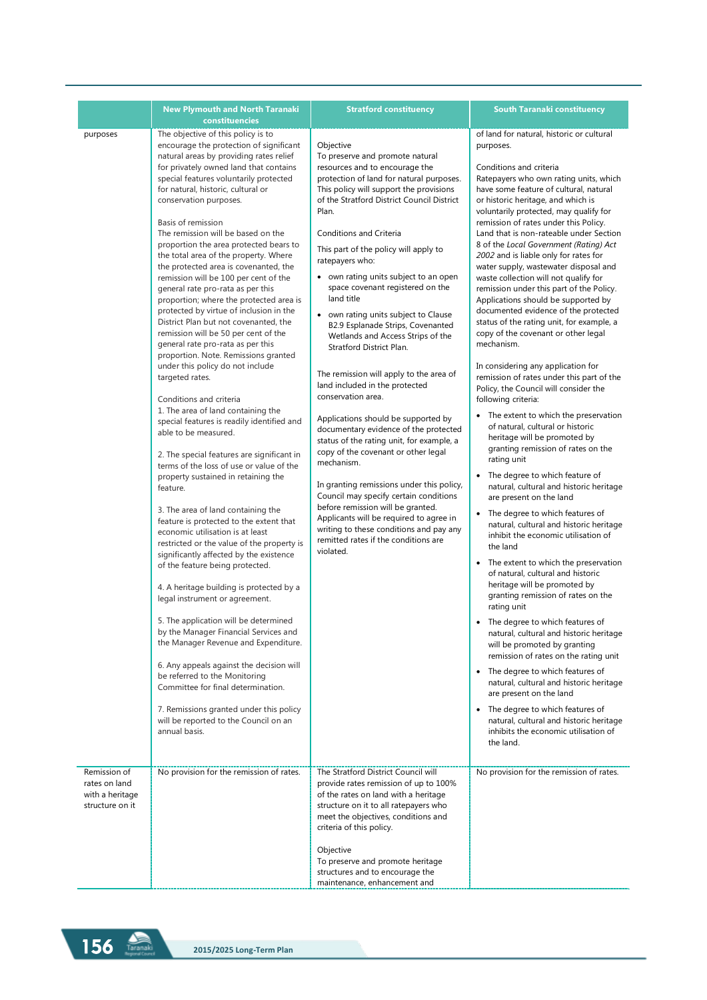|                                                                     | <b>New Plymouth and North Taranaki</b><br>constituencies                                                                                                                                                                                                                                                                                                                                                                                                                                                                                                                                                                                                                                                                                                                                                                                                                                                                                                                                                                                                                                                                                                                                                                                                                                                                                                                                                                                                                                                                                                                                                                                                                                                                                                                                                                           | <b>Stratford constituency</b>                                                                                                                                                                                                                                                                                                                                                                                                                                                                                                                                                                                                                                                                                                                                                                                                                                                                                                                                                                                                                                                                                            | <b>South Taranaki constituency</b>                                                                                                                                                                                                                                                                                                                                                                                                                                                                                                                                                                                                                                                                                                                                                                                                                                                                                                                                                                                                                                                                                                                                                                                                                                                                                                                                                                                                                                                                                                                                                                                                                                                                                                                                                                                                                                                          |
|---------------------------------------------------------------------|------------------------------------------------------------------------------------------------------------------------------------------------------------------------------------------------------------------------------------------------------------------------------------------------------------------------------------------------------------------------------------------------------------------------------------------------------------------------------------------------------------------------------------------------------------------------------------------------------------------------------------------------------------------------------------------------------------------------------------------------------------------------------------------------------------------------------------------------------------------------------------------------------------------------------------------------------------------------------------------------------------------------------------------------------------------------------------------------------------------------------------------------------------------------------------------------------------------------------------------------------------------------------------------------------------------------------------------------------------------------------------------------------------------------------------------------------------------------------------------------------------------------------------------------------------------------------------------------------------------------------------------------------------------------------------------------------------------------------------------------------------------------------------------------------------------------------------|--------------------------------------------------------------------------------------------------------------------------------------------------------------------------------------------------------------------------------------------------------------------------------------------------------------------------------------------------------------------------------------------------------------------------------------------------------------------------------------------------------------------------------------------------------------------------------------------------------------------------------------------------------------------------------------------------------------------------------------------------------------------------------------------------------------------------------------------------------------------------------------------------------------------------------------------------------------------------------------------------------------------------------------------------------------------------------------------------------------------------|---------------------------------------------------------------------------------------------------------------------------------------------------------------------------------------------------------------------------------------------------------------------------------------------------------------------------------------------------------------------------------------------------------------------------------------------------------------------------------------------------------------------------------------------------------------------------------------------------------------------------------------------------------------------------------------------------------------------------------------------------------------------------------------------------------------------------------------------------------------------------------------------------------------------------------------------------------------------------------------------------------------------------------------------------------------------------------------------------------------------------------------------------------------------------------------------------------------------------------------------------------------------------------------------------------------------------------------------------------------------------------------------------------------------------------------------------------------------------------------------------------------------------------------------------------------------------------------------------------------------------------------------------------------------------------------------------------------------------------------------------------------------------------------------------------------------------------------------------------------------------------------------|
| purposes                                                            | The objective of this policy is to<br>encourage the protection of significant<br>natural areas by providing rates relief<br>for privately owned land that contains<br>special features voluntarily protected<br>for natural, historic, cultural or<br>conservation purposes.<br>Basis of remission<br>The remission will be based on the<br>proportion the area protected bears to<br>the total area of the property. Where<br>the protected area is covenanted, the<br>remission will be 100 per cent of the<br>general rate pro-rata as per this<br>proportion; where the protected area is<br>protected by virtue of inclusion in the<br>District Plan but not covenanted, the<br>remission will be 50 per cent of the<br>general rate pro-rata as per this<br>proportion. Note. Remissions granted<br>under this policy do not include<br>targeted rates.<br>Conditions and criteria<br>1. The area of land containing the<br>special features is readily identified and<br>able to be measured.<br>2. The special features are significant in<br>terms of the loss of use or value of the<br>property sustained in retaining the<br>feature.<br>3. The area of land containing the<br>feature is protected to the extent that<br>economic utilisation is at least<br>restricted or the value of the property is<br>significantly affected by the existence<br>of the feature being protected.<br>4. A heritage building is protected by a<br>legal instrument or agreement.<br>5. The application will be determined<br>by the Manager Financial Services and<br>the Manager Revenue and Expenditure.<br>6. Any appeals against the decision will<br>be referred to the Monitoring<br>Committee for final determination.<br>7. Remissions granted under this policy<br>will be reported to the Council on an<br>annual basis. | Objective<br>To preserve and promote natural<br>resources and to encourage the<br>protection of land for natural purposes.<br>This policy will support the provisions<br>of the Stratford District Council District<br>Plan.<br>Conditions and Criteria<br>This part of the policy will apply to<br>ratepayers who:<br>• own rating units subject to an open<br>space covenant registered on the<br>land title<br>• own rating units subject to Clause<br>B2.9 Esplanade Strips, Covenanted<br>Wetlands and Access Strips of the<br>Stratford District Plan.<br>The remission will apply to the area of<br>land included in the protected<br>conservation area.<br>Applications should be supported by<br>documentary evidence of the protected<br>status of the rating unit, for example, a<br>copy of the covenant or other legal<br>mechanism.<br>In granting remissions under this policy,<br>Council may specify certain conditions<br>before remission will be granted.<br>Applicants will be required to agree in<br>writing to these conditions and pay any<br>remitted rates if the conditions are<br>violated. | of land for natural, historic or cultural<br>purposes.<br>Conditions and criteria<br>Ratepayers who own rating units, which<br>have some feature of cultural, natural<br>or historic heritage, and which is<br>voluntarily protected, may qualify for<br>remission of rates under this Policy.<br>Land that is non-rateable under Section<br>8 of the Local Government (Rating) Act<br>2002 and is liable only for rates for<br>water supply, wastewater disposal and<br>waste collection will not qualify for<br>remission under this part of the Policy.<br>Applications should be supported by<br>documented evidence of the protected<br>status of the rating unit, for example, a<br>copy of the covenant or other legal<br>mechanism.<br>In considering any application for<br>remission of rates under this part of the<br>Policy, the Council will consider the<br>following criteria:<br>• The extent to which the preservation<br>of natural, cultural or historic<br>heritage will be promoted by<br>granting remission of rates on the<br>rating unit<br>• The degree to which feature of<br>natural, cultural and historic heritage<br>are present on the land<br>• The degree to which features of<br>natural, cultural and historic heritage<br>inhibit the economic utilisation of<br>the land<br>• The extent to which the preservation<br>of natural, cultural and historic<br>heritage will be promoted by<br>granting remission of rates on the<br>rating unit<br>• The degree to which features of<br>natural, cultural and historic heritage<br>will be promoted by granting<br>remission of rates on the rating unit<br>• The degree to which features of<br>natural, cultural and historic heritage<br>are present on the land<br>• The degree to which features of<br>natural, cultural and historic heritage<br>inhibits the economic utilisation of<br>the land. |
| Remission of<br>rates on land<br>with a heritage<br>structure on it | No provision for the remission of rates.                                                                                                                                                                                                                                                                                                                                                                                                                                                                                                                                                                                                                                                                                                                                                                                                                                                                                                                                                                                                                                                                                                                                                                                                                                                                                                                                                                                                                                                                                                                                                                                                                                                                                                                                                                                           | The Stratford District Council will<br>provide rates remission of up to 100%<br>of the rates on land with a heritage<br>structure on it to all ratepayers who<br>meet the objectives, conditions and<br>criteria of this policy.                                                                                                                                                                                                                                                                                                                                                                                                                                                                                                                                                                                                                                                                                                                                                                                                                                                                                         | No provision for the remission of rates.                                                                                                                                                                                                                                                                                                                                                                                                                                                                                                                                                                                                                                                                                                                                                                                                                                                                                                                                                                                                                                                                                                                                                                                                                                                                                                                                                                                                                                                                                                                                                                                                                                                                                                                                                                                                                                                    |
|                                                                     |                                                                                                                                                                                                                                                                                                                                                                                                                                                                                                                                                                                                                                                                                                                                                                                                                                                                                                                                                                                                                                                                                                                                                                                                                                                                                                                                                                                                                                                                                                                                                                                                                                                                                                                                                                                                                                    | Objective<br>To preserve and promote heritage<br>structures and to encourage the<br>maintenance, enhancement and                                                                                                                                                                                                                                                                                                                                                                                                                                                                                                                                                                                                                                                                                                                                                                                                                                                                                                                                                                                                         |                                                                                                                                                                                                                                                                                                                                                                                                                                                                                                                                                                                                                                                                                                                                                                                                                                                                                                                                                                                                                                                                                                                                                                                                                                                                                                                                                                                                                                                                                                                                                                                                                                                                                                                                                                                                                                                                                             |

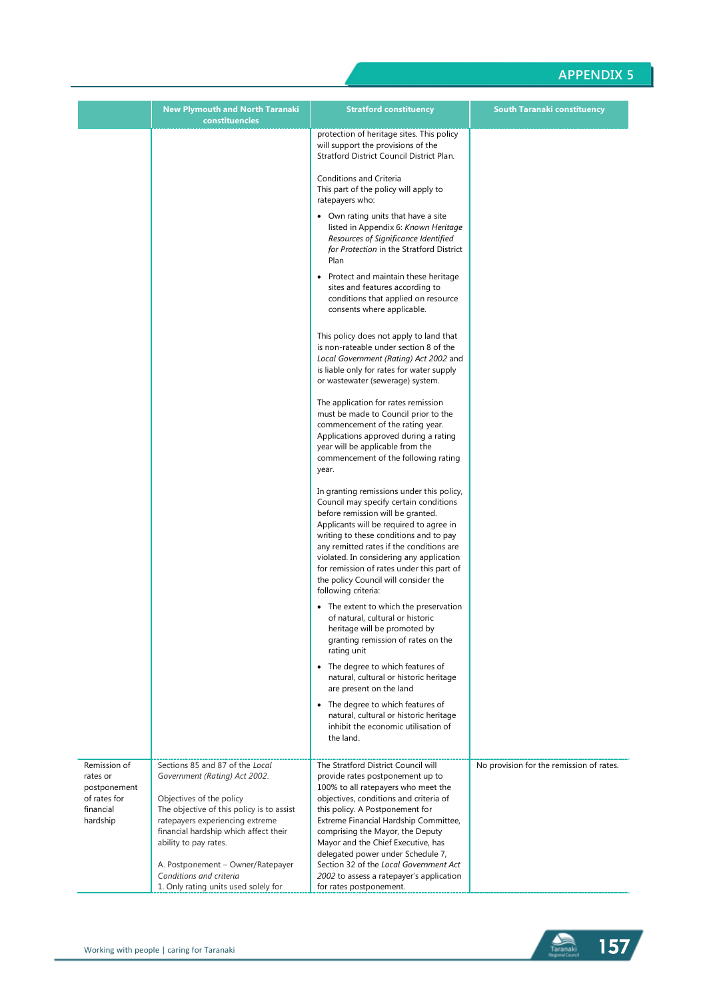|                          | <b>New Plymouth and North Taranaki</b><br>constituencies                     | <b>Stratford constituency</b>                                                                                                                                                                                                                                                                                                                                                                                     | <b>South Taranaki constituency</b>       |
|--------------------------|------------------------------------------------------------------------------|-------------------------------------------------------------------------------------------------------------------------------------------------------------------------------------------------------------------------------------------------------------------------------------------------------------------------------------------------------------------------------------------------------------------|------------------------------------------|
|                          |                                                                              | protection of heritage sites. This policy<br>will support the provisions of the<br>Stratford District Council District Plan.                                                                                                                                                                                                                                                                                      |                                          |
|                          |                                                                              | Conditions and Criteria<br>This part of the policy will apply to<br>ratepayers who:                                                                                                                                                                                                                                                                                                                               |                                          |
|                          |                                                                              | • Own rating units that have a site<br>listed in Appendix 6: Known Heritage<br>Resources of Significance Identified<br>for Protection in the Stratford District<br>Plan                                                                                                                                                                                                                                           |                                          |
|                          |                                                                              | Protect and maintain these heritage<br>$\bullet$<br>sites and features according to<br>conditions that applied on resource<br>consents where applicable.                                                                                                                                                                                                                                                          |                                          |
|                          |                                                                              | This policy does not apply to land that<br>is non-rateable under section 8 of the<br>Local Government (Rating) Act 2002 and<br>is liable only for rates for water supply<br>or wastewater (sewerage) system.                                                                                                                                                                                                      |                                          |
|                          |                                                                              | The application for rates remission<br>must be made to Council prior to the<br>commencement of the rating year.<br>Applications approved during a rating<br>year will be applicable from the<br>commencement of the following rating<br>year.                                                                                                                                                                     |                                          |
|                          |                                                                              | In granting remissions under this policy,<br>Council may specify certain conditions<br>before remission will be granted.<br>Applicants will be required to agree in<br>writing to these conditions and to pay<br>any remitted rates if the conditions are<br>violated. In considering any application<br>for remission of rates under this part of<br>the policy Council will consider the<br>following criteria: |                                          |
|                          |                                                                              | • The extent to which the preservation<br>of natural, cultural or historic<br>heritage will be promoted by<br>granting remission of rates on the<br>rating unit                                                                                                                                                                                                                                                   |                                          |
|                          |                                                                              | • The degree to which features of<br>natural, cultural or historic heritage<br>are present on the land                                                                                                                                                                                                                                                                                                            |                                          |
|                          |                                                                              | The degree to which features of<br>natural, cultural or historic heritage<br>inhibit the economic utilisation of<br>the land.                                                                                                                                                                                                                                                                                     |                                          |
| Remission of             | Sections 85 and 87 of the Local                                              | The Stratford District Council will                                                                                                                                                                                                                                                                                                                                                                               | No provision for the remission of rates. |
| rates or<br>postponement | Government (Rating) Act 2002.                                                | provide rates postponement up to<br>100% to all ratepayers who meet the                                                                                                                                                                                                                                                                                                                                           |                                          |
| of rates for             | Objectives of the policy                                                     | objectives, conditions and criteria of                                                                                                                                                                                                                                                                                                                                                                            |                                          |
| financial<br>hardship    | The objective of this policy is to assist<br>ratepayers experiencing extreme | this policy. A Postponement for<br>Extreme Financial Hardship Committee,                                                                                                                                                                                                                                                                                                                                          |                                          |
|                          | financial hardship which affect their<br>ability to pay rates.               | comprising the Mayor, the Deputy<br>Mayor and the Chief Executive, has                                                                                                                                                                                                                                                                                                                                            |                                          |
|                          | A. Postponement - Owner/Ratepayer                                            | delegated power under Schedule 7,<br>Section 32 of the Local Government Act                                                                                                                                                                                                                                                                                                                                       |                                          |
|                          | Conditions and criteria                                                      | 2002 to assess a ratepayer's application                                                                                                                                                                                                                                                                                                                                                                          |                                          |
|                          | 1. Only rating units used solely for                                         | for rates postponement.                                                                                                                                                                                                                                                                                                                                                                                           |                                          |

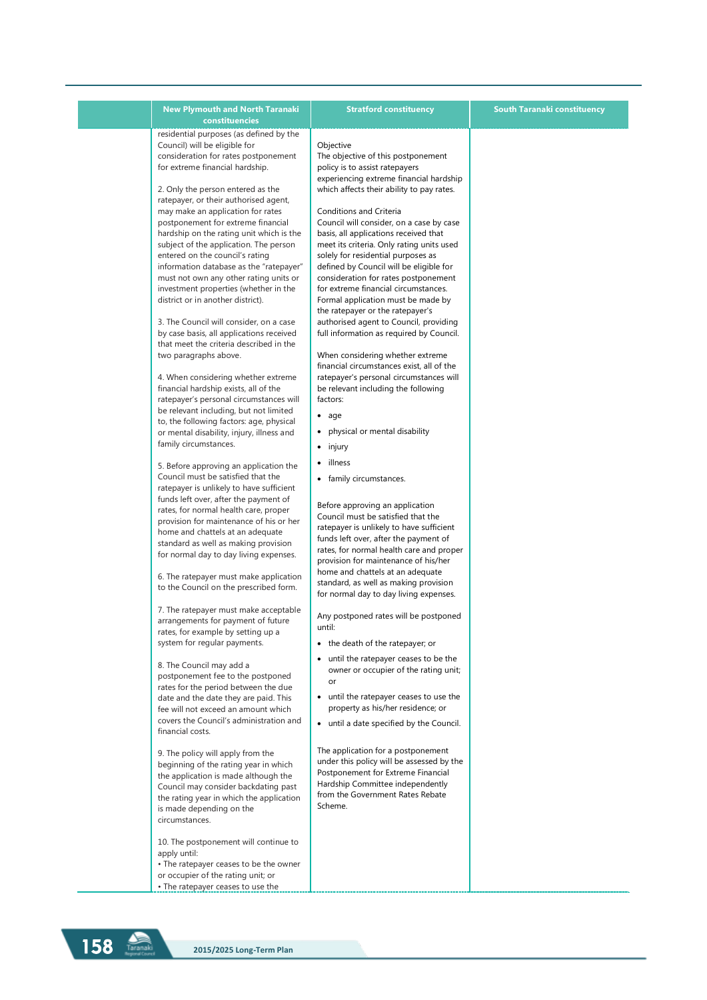| <b>New Plymouth and North Taranaki</b>                                                                                                                                                                                                                                                                                                                                                                                                                                                                                                                                                                                                                                                                                                                                                                                                                                                                                                                                                                                                                                                                                                                                                                                                                                                                                                                                                                                                                                                                                                                                                                                                                                                                                                                                                                                                                                                                                                                                                                                                                                                                                                                                                                                                                                                                                  | <b>Stratford constituency</b>                                                                                                                                                                                                                                                                                                                                                                                                                                                                                                                                                                                                                                                                                                                                                                                                                                                                                                                                                                                                                                                                                                                                                                                                                                                                                                                                                                                                                                                                                                                                                                                                                                                                                                                                                                                                                                                              | <b>South Taranaki constituency</b> |
|-------------------------------------------------------------------------------------------------------------------------------------------------------------------------------------------------------------------------------------------------------------------------------------------------------------------------------------------------------------------------------------------------------------------------------------------------------------------------------------------------------------------------------------------------------------------------------------------------------------------------------------------------------------------------------------------------------------------------------------------------------------------------------------------------------------------------------------------------------------------------------------------------------------------------------------------------------------------------------------------------------------------------------------------------------------------------------------------------------------------------------------------------------------------------------------------------------------------------------------------------------------------------------------------------------------------------------------------------------------------------------------------------------------------------------------------------------------------------------------------------------------------------------------------------------------------------------------------------------------------------------------------------------------------------------------------------------------------------------------------------------------------------------------------------------------------------------------------------------------------------------------------------------------------------------------------------------------------------------------------------------------------------------------------------------------------------------------------------------------------------------------------------------------------------------------------------------------------------------------------------------------------------------------------------------------------------|--------------------------------------------------------------------------------------------------------------------------------------------------------------------------------------------------------------------------------------------------------------------------------------------------------------------------------------------------------------------------------------------------------------------------------------------------------------------------------------------------------------------------------------------------------------------------------------------------------------------------------------------------------------------------------------------------------------------------------------------------------------------------------------------------------------------------------------------------------------------------------------------------------------------------------------------------------------------------------------------------------------------------------------------------------------------------------------------------------------------------------------------------------------------------------------------------------------------------------------------------------------------------------------------------------------------------------------------------------------------------------------------------------------------------------------------------------------------------------------------------------------------------------------------------------------------------------------------------------------------------------------------------------------------------------------------------------------------------------------------------------------------------------------------------------------------------------------------------------------------------------------------|------------------------------------|
| constituencies<br>residential purposes (as defined by the<br>Council) will be eligible for<br>consideration for rates postponement<br>for extreme financial hardship.<br>2. Only the person entered as the<br>ratepayer, or their authorised agent,<br>may make an application for rates<br>postponement for extreme financial<br>hardship on the rating unit which is the<br>subject of the application. The person<br>entered on the council's rating<br>information database as the "ratepayer"<br>must not own any other rating units or<br>investment properties (whether in the<br>district or in another district).<br>3. The Council will consider, on a case<br>by case basis, all applications received<br>that meet the criteria described in the<br>two paragraphs above.<br>4. When considering whether extreme<br>financial hardship exists, all of the<br>ratepayer's personal circumstances will<br>be relevant including, but not limited<br>to, the following factors: age, physical<br>or mental disability, injury, illness and<br>family circumstances.<br>5. Before approving an application the<br>Council must be satisfied that the<br>ratepayer is unlikely to have sufficient<br>funds left over, after the payment of<br>rates, for normal health care, proper<br>provision for maintenance of his or her<br>home and chattels at an adequate<br>standard as well as making provision<br>for normal day to day living expenses.<br>6. The ratepayer must make application<br>to the Council on the prescribed form.<br>7. The ratepayer must make acceptable<br>arrangements for payment of future<br>rates, for example by setting up a<br>system for regular payments.<br>8. The Council may add a<br>postponement fee to the postponed<br>rates for the period between the due<br>date and the date they are paid. This<br>fee will not exceed an amount which<br>covers the Council's administration and<br>financial costs.<br>9. The policy will apply from the<br>beginning of the rating year in which<br>the application is made although the<br>Council may consider backdating past<br>the rating year in which the application<br>is made depending on the<br>circumstances.<br>10. The postponement will continue to<br>apply until:<br>• The ratepayer ceases to be the owner | Objective<br>The objective of this postponement<br>policy is to assist ratepayers<br>experiencing extreme financial hardship<br>which affects their ability to pay rates.<br><b>Conditions and Criteria</b><br>Council will consider, on a case by case<br>basis, all applications received that<br>meet its criteria. Only rating units used<br>solely for residential purposes as<br>defined by Council will be eligible for<br>consideration for rates postponement<br>for extreme financial circumstances.<br>Formal application must be made by<br>the ratepayer or the ratepayer's<br>authorised agent to Council, providing<br>full information as required by Council.<br>When considering whether extreme<br>financial circumstances exist, all of the<br>ratepayer's personal circumstances will<br>be relevant including the following<br>factors:<br>$\bullet$ age<br>physical or mental disability<br>$\bullet$ injury<br>illness<br>$\bullet$<br>• family circumstances.<br>Before approving an application<br>Council must be satisfied that the<br>ratepayer is unlikely to have sufficient<br>funds left over, after the payment of<br>rates, for normal health care and proper<br>provision for maintenance of his/her<br>home and chattels at an adequate<br>standard, as well as making provision<br>for normal day to day living expenses.<br>Any postponed rates will be postponed<br>until:<br>• the death of the ratepayer; or<br>until the ratepayer ceases to be the<br>٠<br>owner or occupier of the rating unit;<br>or<br>• until the ratepayer ceases to use the<br>property as his/her residence; or<br>• until a date specified by the Council.<br>The application for a postponement<br>under this policy will be assessed by the<br>Postponement for Extreme Financial<br>Hardship Committee independently<br>from the Government Rates Rebate<br>Scheme. |                                    |
| or occupier of the rating unit; or<br>• The ratepayer ceases to use the                                                                                                                                                                                                                                                                                                                                                                                                                                                                                                                                                                                                                                                                                                                                                                                                                                                                                                                                                                                                                                                                                                                                                                                                                                                                                                                                                                                                                                                                                                                                                                                                                                                                                                                                                                                                                                                                                                                                                                                                                                                                                                                                                                                                                                                 |                                                                                                                                                                                                                                                                                                                                                                                                                                                                                                                                                                                                                                                                                                                                                                                                                                                                                                                                                                                                                                                                                                                                                                                                                                                                                                                                                                                                                                                                                                                                                                                                                                                                                                                                                                                                                                                                                            |                                    |

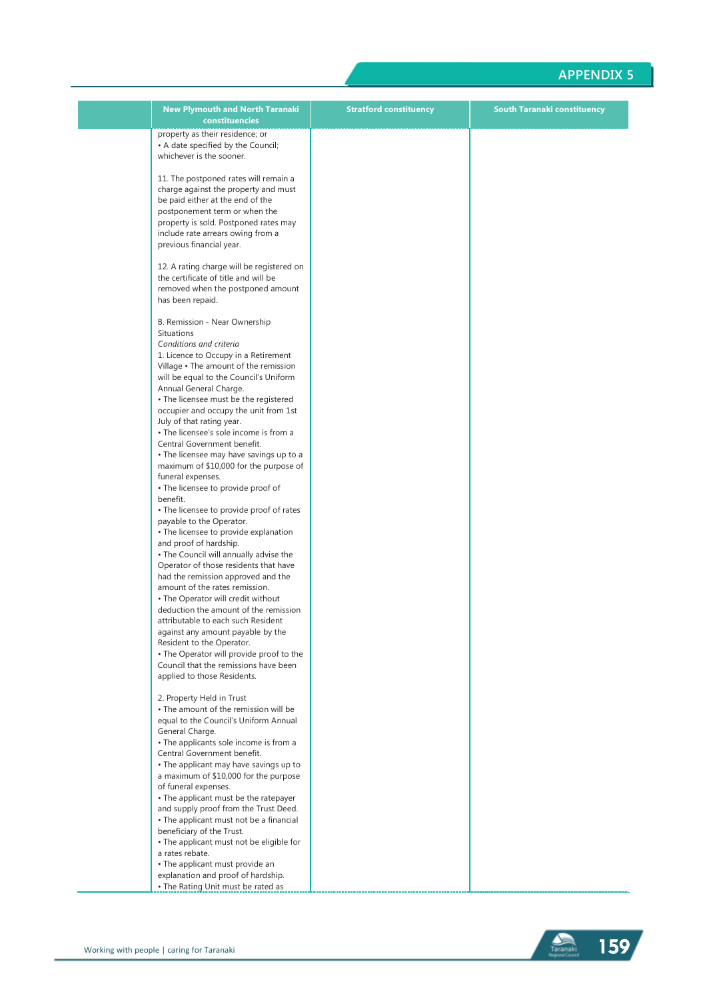| <b>New Plymouth and North Taranaki</b><br>constituencies                                                                                                                                                                                                                                                                                                                                                                                                                                                                                                                                                                                                                                                                                                                                                                                                                                                                                                                                                                                                                                                                                                          | <b>Stratford constituency</b> | <b>South Taranaki constituency</b> |
|-------------------------------------------------------------------------------------------------------------------------------------------------------------------------------------------------------------------------------------------------------------------------------------------------------------------------------------------------------------------------------------------------------------------------------------------------------------------------------------------------------------------------------------------------------------------------------------------------------------------------------------------------------------------------------------------------------------------------------------------------------------------------------------------------------------------------------------------------------------------------------------------------------------------------------------------------------------------------------------------------------------------------------------------------------------------------------------------------------------------------------------------------------------------|-------------------------------|------------------------------------|
| property as their residence; or<br>• A date specified by the Council;<br>whichever is the sooner.                                                                                                                                                                                                                                                                                                                                                                                                                                                                                                                                                                                                                                                                                                                                                                                                                                                                                                                                                                                                                                                                 |                               |                                    |
| 11. The postponed rates will remain a<br>charge against the property and must<br>be paid either at the end of the<br>postponement term or when the<br>property is sold. Postponed rates may<br>include rate arrears owing from a<br>previous financial year.                                                                                                                                                                                                                                                                                                                                                                                                                                                                                                                                                                                                                                                                                                                                                                                                                                                                                                      |                               |                                    |
| 12. A rating charge will be registered on<br>the certificate of title and will be<br>removed when the postponed amount<br>has been repaid.                                                                                                                                                                                                                                                                                                                                                                                                                                                                                                                                                                                                                                                                                                                                                                                                                                                                                                                                                                                                                        |                               |                                    |
| B. Remission - Near Ownership<br>Situations<br>Conditions and criteria<br>1. Licence to Occupy in a Retirement<br>Village • The amount of the remission<br>will be equal to the Council's Uniform<br>Annual General Charge.<br>• The licensee must be the registered<br>occupier and occupy the unit from 1st<br>July of that rating year.<br>• The licensee's sole income is from a<br>Central Government benefit.<br>• The licensee may have savings up to a<br>maximum of \$10,000 for the purpose of<br>funeral expenses.<br>• The licensee to provide proof of<br>benefit.<br>• The licensee to provide proof of rates<br>payable to the Operator.<br>• The licensee to provide explanation<br>and proof of hardship.<br>• The Council will annually advise the<br>Operator of those residents that have<br>had the remission approved and the<br>amount of the rates remission.<br>• The Operator will credit without<br>deduction the amount of the remission<br>attributable to each such Resident<br>against any amount payable by the<br>Resident to the Operator.<br>• The Operator will provide proof to the<br>Council that the remissions have been |                               |                                    |
| applied to those Residents.<br>2. Property Held in Trust<br>• The amount of the remission will be<br>equal to the Council's Uniform Annual<br>General Charge.<br>• The applicants sole income is from a                                                                                                                                                                                                                                                                                                                                                                                                                                                                                                                                                                                                                                                                                                                                                                                                                                                                                                                                                           |                               |                                    |
| Central Government benefit.<br>• The applicant may have savings up to<br>a maximum of \$10,000 for the purpose<br>of funeral expenses.<br>• The applicant must be the ratepayer<br>and supply proof from the Trust Deed.<br>• The applicant must not be a financial<br>beneficiary of the Trust.                                                                                                                                                                                                                                                                                                                                                                                                                                                                                                                                                                                                                                                                                                                                                                                                                                                                  |                               |                                    |
| • The applicant must not be eligible for<br>a rates rebate.<br>• The applicant must provide an<br>explanation and proof of hardship.<br>• The Rating Unit must be rated as                                                                                                                                                                                                                                                                                                                                                                                                                                                                                                                                                                                                                                                                                                                                                                                                                                                                                                                                                                                        |                               |                                    |

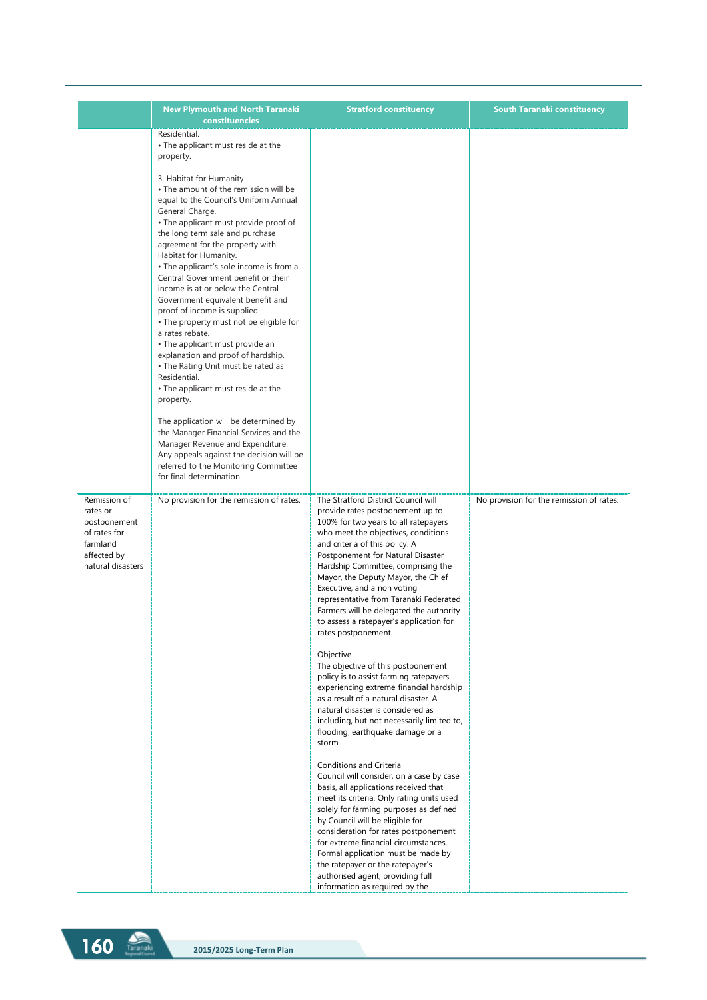|                                                                                                          | <b>New Plymouth and North Taranaki</b><br>constituencies                                                                                                                                                                                                                                                                                                                                                                                                          | <b>Stratford constituency</b>                                                                                                                                                                                                                                                                                                                                                                                                                                                                   | <b>South Taranaki constituency</b>       |
|----------------------------------------------------------------------------------------------------------|-------------------------------------------------------------------------------------------------------------------------------------------------------------------------------------------------------------------------------------------------------------------------------------------------------------------------------------------------------------------------------------------------------------------------------------------------------------------|-------------------------------------------------------------------------------------------------------------------------------------------------------------------------------------------------------------------------------------------------------------------------------------------------------------------------------------------------------------------------------------------------------------------------------------------------------------------------------------------------|------------------------------------------|
|                                                                                                          | Residential.<br>• The applicant must reside at the<br>property.<br>3. Habitat for Humanity<br>• The amount of the remission will be<br>equal to the Council's Uniform Annual<br>General Charge.<br>• The applicant must provide proof of<br>the long term sale and purchase<br>agreement for the property with                                                                                                                                                    |                                                                                                                                                                                                                                                                                                                                                                                                                                                                                                 |                                          |
|                                                                                                          | Habitat for Humanity.<br>• The applicant's sole income is from a<br>Central Government benefit or their<br>income is at or below the Central<br>Government equivalent benefit and<br>proof of income is supplied.<br>• The property must not be eligible for<br>a rates rebate.<br>• The applicant must provide an<br>explanation and proof of hardship.<br>• The Rating Unit must be rated as<br>Residential.<br>• The applicant must reside at the<br>property. |                                                                                                                                                                                                                                                                                                                                                                                                                                                                                                 |                                          |
|                                                                                                          | The application will be determined by<br>the Manager Financial Services and the<br>Manager Revenue and Expenditure.<br>Any appeals against the decision will be<br>referred to the Monitoring Committee<br>for final determination.                                                                                                                                                                                                                               |                                                                                                                                                                                                                                                                                                                                                                                                                                                                                                 |                                          |
| Remission of<br>rates or<br>postponement<br>of rates for<br>farmland<br>affected by<br>natural disasters | No provision for the remission of rates.                                                                                                                                                                                                                                                                                                                                                                                                                          | The Stratford District Council will<br>provide rates postponement up to<br>100% for two years to all ratepayers<br>who meet the objectives, conditions<br>and criteria of this policy. A<br>Postponement for Natural Disaster<br>Hardship Committee, comprising the<br>Mayor, the Deputy Mayor, the Chief<br>Executive, and a non voting<br>representative from Taranaki Federated<br>Farmers will be delegated the authority<br>to assess a ratepayer's application for<br>rates postponement. | No provision for the remission of rates. |
|                                                                                                          |                                                                                                                                                                                                                                                                                                                                                                                                                                                                   | Objective<br>The objective of this postponement<br>policy is to assist farming ratepayers<br>experiencing extreme financial hardship<br>as a result of a natural disaster. A<br>natural disaster is considered as<br>including, but not necessarily limited to,<br>flooding, earthquake damage or a<br>storm.                                                                                                                                                                                   |                                          |
|                                                                                                          |                                                                                                                                                                                                                                                                                                                                                                                                                                                                   | Conditions and Criteria<br>Council will consider, on a case by case<br>basis, all applications received that<br>meet its criteria. Only rating units used<br>solely for farming purposes as defined<br>by Council will be eligible for<br>consideration for rates postponement<br>for extreme financial circumstances.<br>Formal application must be made by<br>the ratepayer or the ratepayer's<br>authorised agent, providing full<br>information as required by the                          |                                          |

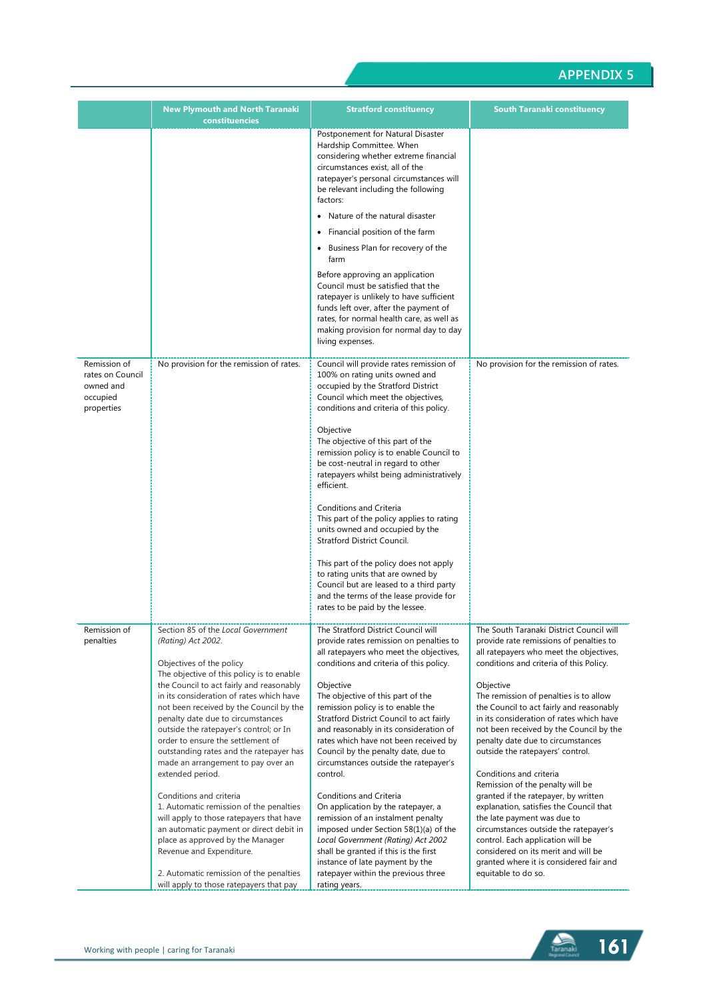|                                                                         | <b>New Plymouth and North Taranaki</b><br>constituencies                                                                                                                                                                                                                                                                                                                                                                                                                                                                                                                                                                                                                                                                                                                                                         | <b>Stratford constituency</b>                                                                                                                                                                                                                                                                                                                                                                                                                                                                                                                                                                                                                                                                                                                                                                                    | South Taranaki constituency                                                                                                                                                                                                                                                                                                                                                                                                                                                                                                                                                                                                                                                                                                                                                                                          |
|-------------------------------------------------------------------------|------------------------------------------------------------------------------------------------------------------------------------------------------------------------------------------------------------------------------------------------------------------------------------------------------------------------------------------------------------------------------------------------------------------------------------------------------------------------------------------------------------------------------------------------------------------------------------------------------------------------------------------------------------------------------------------------------------------------------------------------------------------------------------------------------------------|------------------------------------------------------------------------------------------------------------------------------------------------------------------------------------------------------------------------------------------------------------------------------------------------------------------------------------------------------------------------------------------------------------------------------------------------------------------------------------------------------------------------------------------------------------------------------------------------------------------------------------------------------------------------------------------------------------------------------------------------------------------------------------------------------------------|----------------------------------------------------------------------------------------------------------------------------------------------------------------------------------------------------------------------------------------------------------------------------------------------------------------------------------------------------------------------------------------------------------------------------------------------------------------------------------------------------------------------------------------------------------------------------------------------------------------------------------------------------------------------------------------------------------------------------------------------------------------------------------------------------------------------|
|                                                                         |                                                                                                                                                                                                                                                                                                                                                                                                                                                                                                                                                                                                                                                                                                                                                                                                                  | Postponement for Natural Disaster<br>Hardship Committee. When<br>considering whether extreme financial<br>circumstances exist, all of the<br>ratepayer's personal circumstances will<br>be relevant including the following<br>factors:<br>Nature of the natural disaster<br>Financial position of the farm<br>• Business Plan for recovery of the<br>farm<br>Before approving an application<br>Council must be satisfied that the<br>ratepayer is unlikely to have sufficient<br>funds left over, after the payment of<br>rates, for normal health care, as well as<br>making provision for normal day to day<br>living expenses.                                                                                                                                                                              |                                                                                                                                                                                                                                                                                                                                                                                                                                                                                                                                                                                                                                                                                                                                                                                                                      |
| Remission of<br>rates on Council<br>owned and<br>occupied<br>properties | No provision for the remission of rates.                                                                                                                                                                                                                                                                                                                                                                                                                                                                                                                                                                                                                                                                                                                                                                         | Council will provide rates remission of<br>100% on rating units owned and<br>occupied by the Stratford District<br>Council which meet the objectives,<br>conditions and criteria of this policy.<br>Objective<br>The objective of this part of the<br>remission policy is to enable Council to<br>be cost-neutral in regard to other<br>ratepayers whilst being administratively<br>efficient.<br>Conditions and Criteria<br>This part of the policy applies to rating<br>units owned and occupied by the<br>Stratford District Council.<br>This part of the policy does not apply<br>to rating units that are owned by<br>Council but are leased to a third party<br>and the terms of the lease provide for<br>rates to be paid by the lessee.                                                                  | No provision for the remission of rates.                                                                                                                                                                                                                                                                                                                                                                                                                                                                                                                                                                                                                                                                                                                                                                             |
| Remission of<br>penalties                                               | Section 85 of the Local Government<br>(Rating) Act 2002.<br>Objectives of the policy<br>The objective of this policy is to enable<br>the Council to act fairly and reasonably<br>in its consideration of rates which have<br>not been received by the Council by the<br>penalty date due to circumstances<br>outside the ratepayer's control; or In<br>order to ensure the settlement of<br>outstanding rates and the ratepayer has<br>made an arrangement to pay over an<br>extended period.<br>Conditions and criteria<br>1. Automatic remission of the penalties<br>will apply to those ratepayers that have<br>an automatic payment or direct debit in<br>place as approved by the Manager<br>Revenue and Expenditure.<br>2. Automatic remission of the penalties<br>will apply to those ratepayers that pay | The Stratford District Council will<br>provide rates remission on penalties to<br>all ratepayers who meet the objectives,<br>conditions and criteria of this policy.<br>Objective<br>The objective of this part of the<br>remission policy is to enable the<br>Stratford District Council to act fairly<br>and reasonably in its consideration of<br>rates which have not been received by<br>Council by the penalty date, due to<br>circumstances outside the ratepayer's<br>control.<br>Conditions and Criteria<br>On application by the ratepayer, a<br>remission of an instalment penalty<br>imposed under Section 58(1)(a) of the<br>Local Government (Rating) Act 2002<br>shall be granted if this is the first<br>instance of late payment by the<br>ratepayer within the previous three<br>rating years. | The South Taranaki District Council will<br>provide rate remissions of penalties to<br>all ratepayers who meet the objectives,<br>conditions and criteria of this Policy.<br>Objective<br>The remission of penalties is to allow<br>the Council to act fairly and reasonably<br>in its consideration of rates which have<br>not been received by the Council by the<br>penalty date due to circumstances<br>outside the ratepayers' control.<br>Conditions and criteria<br>Remission of the penalty will be<br>granted if the ratepayer, by written<br>explanation, satisfies the Council that<br>the late payment was due to<br>circumstances outside the ratepayer's<br>control. Each application will be<br>considered on its merit and will be<br>granted where it is considered fair and<br>equitable to do so. |

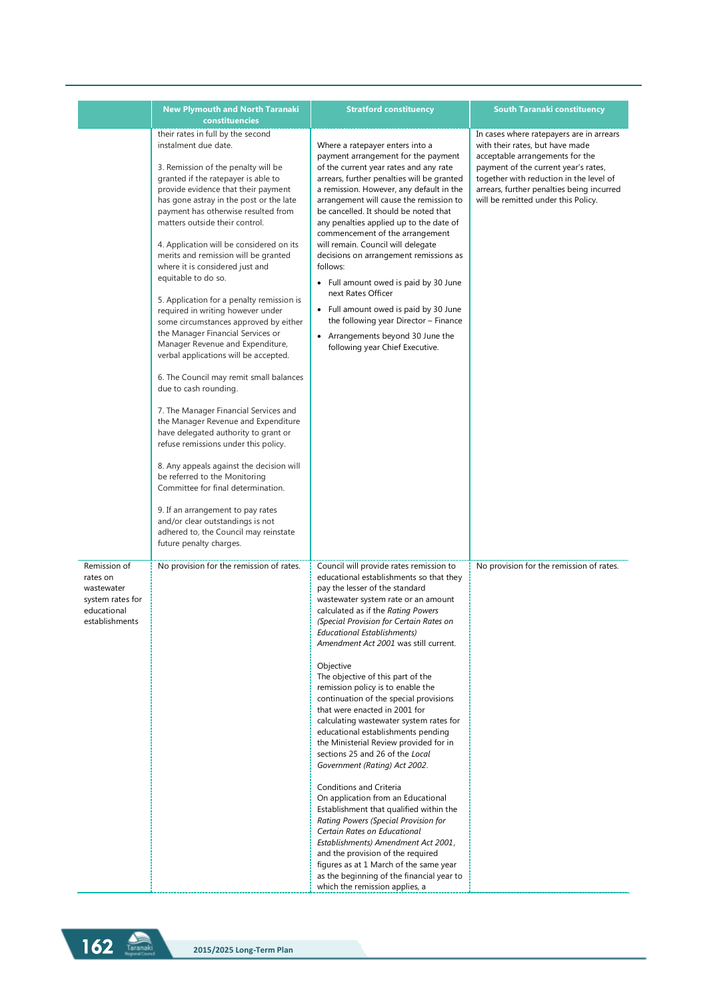|                                                                                             | <b>New Plymouth and North Taranaki</b><br>constituencies                                                                                                                                                                                                                                                                                                                                                                                                                                                                                                                                                                                                                                                                                                                                                                                                                                                                                                                                                                                                                                                                                                                                          | <b>Stratford constituency</b>                                                                                                                                                                                                                                                                                                                                                                                                                                                                                                                                                                                                                                                                                                                                                                                                                                                                                                                                                                                                                                                  | South Taranaki constituency                                                                                                                                                                                                                                                           |
|---------------------------------------------------------------------------------------------|---------------------------------------------------------------------------------------------------------------------------------------------------------------------------------------------------------------------------------------------------------------------------------------------------------------------------------------------------------------------------------------------------------------------------------------------------------------------------------------------------------------------------------------------------------------------------------------------------------------------------------------------------------------------------------------------------------------------------------------------------------------------------------------------------------------------------------------------------------------------------------------------------------------------------------------------------------------------------------------------------------------------------------------------------------------------------------------------------------------------------------------------------------------------------------------------------|--------------------------------------------------------------------------------------------------------------------------------------------------------------------------------------------------------------------------------------------------------------------------------------------------------------------------------------------------------------------------------------------------------------------------------------------------------------------------------------------------------------------------------------------------------------------------------------------------------------------------------------------------------------------------------------------------------------------------------------------------------------------------------------------------------------------------------------------------------------------------------------------------------------------------------------------------------------------------------------------------------------------------------------------------------------------------------|---------------------------------------------------------------------------------------------------------------------------------------------------------------------------------------------------------------------------------------------------------------------------------------|
|                                                                                             | their rates in full by the second<br>instalment due date.<br>3. Remission of the penalty will be<br>granted if the ratepayer is able to<br>provide evidence that their payment<br>has gone astray in the post or the late<br>payment has otherwise resulted from<br>matters outside their control.<br>4. Application will be considered on its<br>merits and remission will be granted<br>where it is considered just and<br>equitable to do so.<br>5. Application for a penalty remission is<br>required in writing however under<br>some circumstances approved by either<br>the Manager Financial Services or<br>Manager Revenue and Expenditure,<br>verbal applications will be accepted.<br>6. The Council may remit small balances<br>due to cash rounding.<br>7. The Manager Financial Services and<br>the Manager Revenue and Expenditure<br>have delegated authority to grant or<br>refuse remissions under this policy.<br>8. Any appeals against the decision will<br>be referred to the Monitoring<br>Committee for final determination.<br>9. If an arrangement to pay rates<br>and/or clear outstandings is not<br>adhered to, the Council may reinstate<br>future penalty charges. | Where a ratepayer enters into a<br>payment arrangement for the payment<br>of the current year rates and any rate<br>arrears, further penalties will be granted<br>a remission. However, any default in the<br>arrangement will cause the remission to<br>be cancelled. It should be noted that<br>any penalties applied up to the date of<br>commencement of the arrangement<br>will remain. Council will delegate<br>decisions on arrangement remissions as<br>follows:<br>• Full amount owed is paid by 30 June<br>next Rates Officer<br>• Full amount owed is paid by 30 June<br>the following year Director - Finance<br>• Arrangements beyond 30 June the<br>following year Chief Executive.                                                                                                                                                                                                                                                                                                                                                                              | In cases where ratepayers are in arrears<br>with their rates, but have made<br>acceptable arrangements for the<br>payment of the current year's rates,<br>together with reduction in the level of<br>arrears, further penalties being incurred<br>will be remitted under this Policy. |
| Remission of<br>rates on<br>wastewater<br>system rates for<br>educational<br>establishments | No provision for the remission of rates.                                                                                                                                                                                                                                                                                                                                                                                                                                                                                                                                                                                                                                                                                                                                                                                                                                                                                                                                                                                                                                                                                                                                                          | Council will provide rates remission to<br>educational establishments so that they<br>pay the lesser of the standard<br>wastewater system rate or an amount<br>calculated as if the Rating Powers<br>(Special Provision for Certain Rates on<br>Educational Establishments)<br>Amendment Act 2001 was still current.<br>Objective<br>The objective of this part of the<br>remission policy is to enable the<br>continuation of the special provisions<br>that were enacted in 2001 for<br>calculating wastewater system rates for<br>educational establishments pending<br>the Ministerial Review provided for in<br>sections 25 and 26 of the Local<br>Government (Rating) Act 2002.<br>Conditions and Criteria<br>On application from an Educational<br>Establishment that qualified within the<br>Rating Powers (Special Provision for<br>Certain Rates on Educational<br>Establishments) Amendment Act 2001,<br>and the provision of the required<br>figures as at 1 March of the same year<br>as the beginning of the financial year to<br>which the remission applies, a | No provision for the remission of rates.                                                                                                                                                                                                                                              |

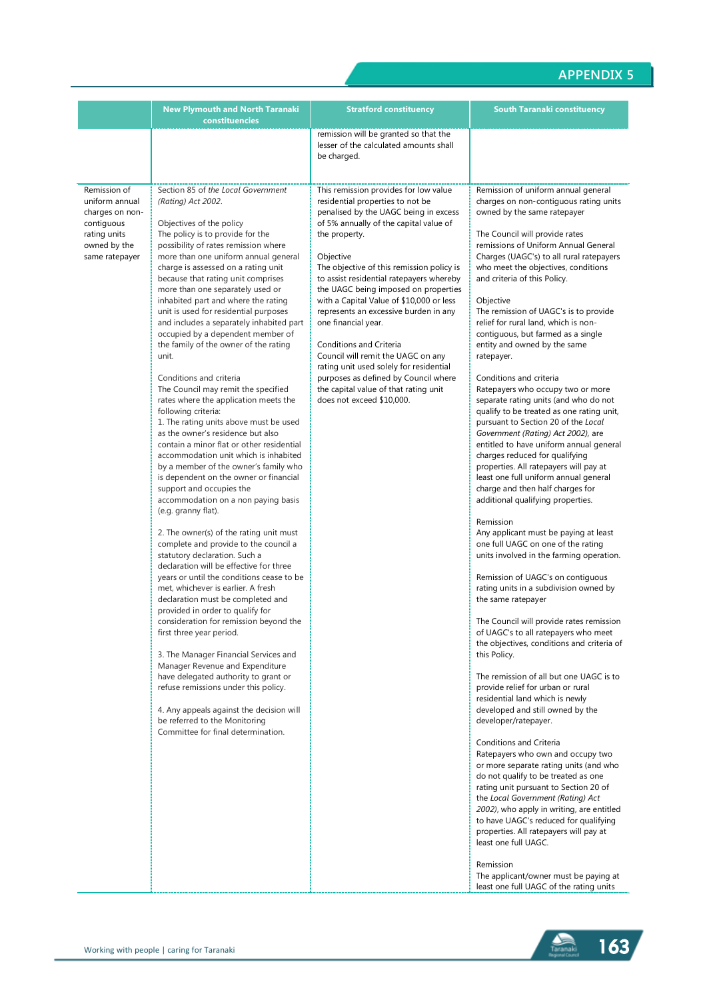|                                                                                                                   | <b>New Plymouth and North Taranaki</b><br>constituencies                                                                                                                                                                                                                                                                                                                                                                                                                                                                                                                                                                                                                                                                                                                                                                                                                                                                                                                                                                                                                                                                                                                                                                                                                                                                                                                                                                                                                                                                                                                                                                                                                                                          | <b>Stratford constituency</b>                                                                                                                                                                                                                                                                                                                                                                                                                                                                                                                                                                                                                                     | <b>South Taranaki constituency</b>                                                                                                                                                                                                                                                                                                                                                                                                                                                                                                                                                                                                                                                                                                                                                                                                                                                                                                                                                                                                                                                                                                                                                                                                                                                                                                                                                                                                                                                                                                                                                                                                                                                                                                                                                                                                                                                                                                                                                                                                            |
|-------------------------------------------------------------------------------------------------------------------|-------------------------------------------------------------------------------------------------------------------------------------------------------------------------------------------------------------------------------------------------------------------------------------------------------------------------------------------------------------------------------------------------------------------------------------------------------------------------------------------------------------------------------------------------------------------------------------------------------------------------------------------------------------------------------------------------------------------------------------------------------------------------------------------------------------------------------------------------------------------------------------------------------------------------------------------------------------------------------------------------------------------------------------------------------------------------------------------------------------------------------------------------------------------------------------------------------------------------------------------------------------------------------------------------------------------------------------------------------------------------------------------------------------------------------------------------------------------------------------------------------------------------------------------------------------------------------------------------------------------------------------------------------------------------------------------------------------------|-------------------------------------------------------------------------------------------------------------------------------------------------------------------------------------------------------------------------------------------------------------------------------------------------------------------------------------------------------------------------------------------------------------------------------------------------------------------------------------------------------------------------------------------------------------------------------------------------------------------------------------------------------------------|-----------------------------------------------------------------------------------------------------------------------------------------------------------------------------------------------------------------------------------------------------------------------------------------------------------------------------------------------------------------------------------------------------------------------------------------------------------------------------------------------------------------------------------------------------------------------------------------------------------------------------------------------------------------------------------------------------------------------------------------------------------------------------------------------------------------------------------------------------------------------------------------------------------------------------------------------------------------------------------------------------------------------------------------------------------------------------------------------------------------------------------------------------------------------------------------------------------------------------------------------------------------------------------------------------------------------------------------------------------------------------------------------------------------------------------------------------------------------------------------------------------------------------------------------------------------------------------------------------------------------------------------------------------------------------------------------------------------------------------------------------------------------------------------------------------------------------------------------------------------------------------------------------------------------------------------------------------------------------------------------------------------------------------------------|
|                                                                                                                   |                                                                                                                                                                                                                                                                                                                                                                                                                                                                                                                                                                                                                                                                                                                                                                                                                                                                                                                                                                                                                                                                                                                                                                                                                                                                                                                                                                                                                                                                                                                                                                                                                                                                                                                   | remission will be granted so that the<br>lesser of the calculated amounts shall<br>be charged.                                                                                                                                                                                                                                                                                                                                                                                                                                                                                                                                                                    |                                                                                                                                                                                                                                                                                                                                                                                                                                                                                                                                                                                                                                                                                                                                                                                                                                                                                                                                                                                                                                                                                                                                                                                                                                                                                                                                                                                                                                                                                                                                                                                                                                                                                                                                                                                                                                                                                                                                                                                                                                               |
| Remission of<br>uniform annual<br>charges on non-<br>contiguous<br>rating units<br>owned by the<br>same ratepayer | Section 85 of the Local Government<br>(Rating) Act 2002.<br>Objectives of the policy<br>The policy is to provide for the<br>possibility of rates remission where<br>more than one uniform annual general<br>charge is assessed on a rating unit<br>because that rating unit comprises<br>more than one separately used or<br>inhabited part and where the rating<br>unit is used for residential purposes<br>and includes a separately inhabited part<br>occupied by a dependent member of<br>the family of the owner of the rating<br>unit.<br>Conditions and criteria<br>The Council may remit the specified<br>rates where the application meets the<br>following criteria:<br>1. The rating units above must be used<br>as the owner's residence but also<br>contain a minor flat or other residential<br>accommodation unit which is inhabited<br>by a member of the owner's family who<br>is dependent on the owner or financial<br>support and occupies the<br>accommodation on a non paying basis<br>(e.g. granny flat).<br>2. The owner(s) of the rating unit must<br>complete and provide to the council a<br>statutory declaration. Such a<br>declaration will be effective for three<br>years or until the conditions cease to be<br>met, whichever is earlier. A fresh<br>declaration must be completed and<br>provided in order to qualify for<br>consideration for remission beyond the<br>first three year period.<br>3. The Manager Financial Services and<br>Manager Revenue and Expenditure<br>have delegated authority to grant or<br>refuse remissions under this policy.<br>4. Any appeals against the decision will<br>be referred to the Monitoring<br>Committee for final determination. | This remission provides for low value<br>residential properties to not be<br>penalised by the UAGC being in excess<br>of 5% annually of the capital value of<br>the property.<br>Objective<br>The objective of this remission policy is<br>to assist residential ratepayers whereby<br>the UAGC being imposed on properties<br>with a Capital Value of \$10,000 or less<br>represents an excessive burden in any<br>one financial year.<br>Conditions and Criteria<br>Council will remit the UAGC on any<br>rating unit used solely for residential<br>purposes as defined by Council where<br>the capital value of that rating unit<br>does not exceed \$10,000. | Remission of uniform annual general<br>charges on non-contiguous rating units<br>owned by the same ratepayer<br>The Council will provide rates<br>remissions of Uniform Annual General<br>Charges (UAGC's) to all rural ratepayers<br>who meet the objectives, conditions<br>and criteria of this Policy.<br>Objective<br>The remission of UAGC's is to provide<br>relief for rural land, which is non-<br>contiguous, but farmed as a single<br>entity and owned by the same<br>ratepayer.<br>Conditions and criteria<br>Ratepayers who occupy two or more<br>separate rating units (and who do not<br>qualify to be treated as one rating unit,<br>pursuant to Section 20 of the Local<br>Government (Rating) Act 2002), are<br>entitled to have uniform annual general<br>charges reduced for qualifying<br>properties. All ratepayers will pay at<br>least one full uniform annual general<br>charge and then half charges for<br>additional qualifying properties.<br>Remission<br>Any applicant must be paying at least<br>one full UAGC on one of the rating<br>units involved in the farming operation.<br>Remission of UAGC's on contiguous<br>rating units in a subdivision owned by<br>the same ratepayer<br>The Council will provide rates remission<br>of UAGC's to all ratepayers who meet<br>the objectives, conditions and criteria of<br>this Policy.<br>The remission of all but one UAGC is to<br>provide relief for urban or rural<br>residential land which is newly<br>developed and still owned by the<br>developer/ratepayer.<br>Conditions and Criteria<br>Ratepayers who own and occupy two<br>or more separate rating units (and who<br>do not qualify to be treated as one<br>rating unit pursuant to Section 20 of<br>the Local Government (Rating) Act<br>2002), who apply in writing, are entitled<br>to have UAGC's reduced for qualifying<br>properties. All ratepayers will pay at<br>least one full UAGC.<br>Remission<br>The applicant/owner must be paying at<br>least one full UAGC of the rating units |

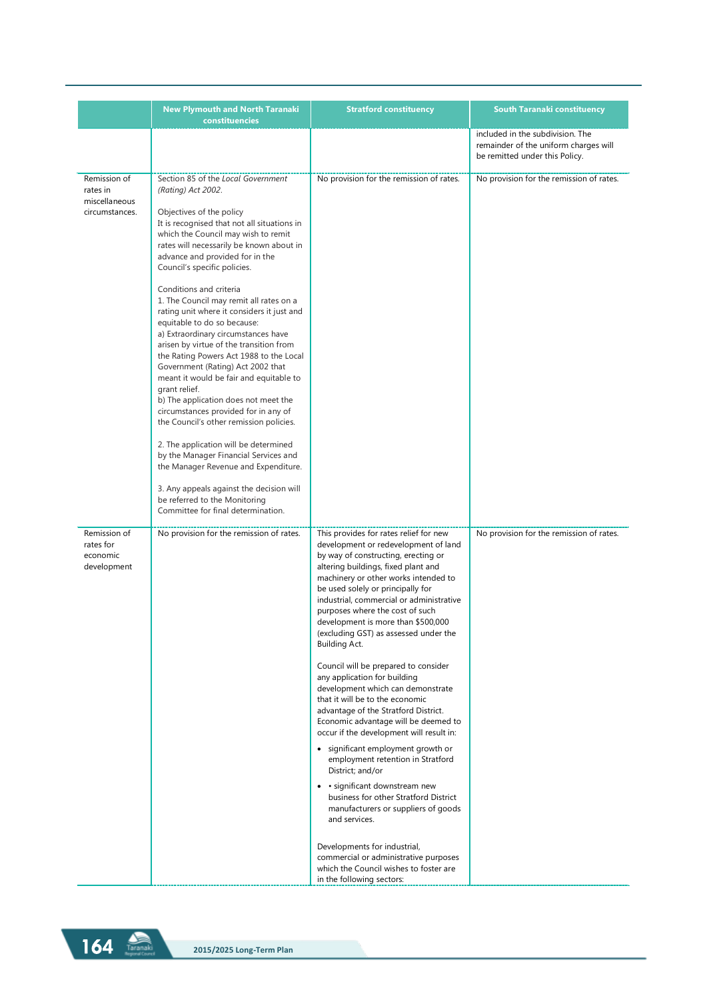| <b>New Plymouth and North Taranaki</b><br>constituencies                                                                                                                                                                                                                                                                                                                                                                                                                                                                                                                                                                                                                                                                                                                                                                                                                                                                                                                                                                                           | <b>Stratford constituency</b>                                                                                                                                                                                                                                                                                                                                                                                                                                                                                                                                                                                                                                                                                                                                                                                                                                                                                                                                                                                 | <b>South Taranaki constituency</b>                                                                          |
|----------------------------------------------------------------------------------------------------------------------------------------------------------------------------------------------------------------------------------------------------------------------------------------------------------------------------------------------------------------------------------------------------------------------------------------------------------------------------------------------------------------------------------------------------------------------------------------------------------------------------------------------------------------------------------------------------------------------------------------------------------------------------------------------------------------------------------------------------------------------------------------------------------------------------------------------------------------------------------------------------------------------------------------------------|---------------------------------------------------------------------------------------------------------------------------------------------------------------------------------------------------------------------------------------------------------------------------------------------------------------------------------------------------------------------------------------------------------------------------------------------------------------------------------------------------------------------------------------------------------------------------------------------------------------------------------------------------------------------------------------------------------------------------------------------------------------------------------------------------------------------------------------------------------------------------------------------------------------------------------------------------------------------------------------------------------------|-------------------------------------------------------------------------------------------------------------|
|                                                                                                                                                                                                                                                                                                                                                                                                                                                                                                                                                                                                                                                                                                                                                                                                                                                                                                                                                                                                                                                    |                                                                                                                                                                                                                                                                                                                                                                                                                                                                                                                                                                                                                                                                                                                                                                                                                                                                                                                                                                                                               | included in the subdivision. The<br>remainder of the uniform charges will<br>be remitted under this Policy. |
| Section 85 of the Local Government<br>(Rating) Act 2002.<br>Objectives of the policy<br>It is recognised that not all situations in<br>which the Council may wish to remit<br>rates will necessarily be known about in<br>advance and provided for in the<br>Council's specific policies.<br>Conditions and criteria<br>1. The Council may remit all rates on a<br>rating unit where it considers it just and<br>equitable to do so because:<br>a) Extraordinary circumstances have<br>arisen by virtue of the transition from<br>the Rating Powers Act 1988 to the Local<br>Government (Rating) Act 2002 that<br>meant it would be fair and equitable to<br>grant relief.<br>b) The application does not meet the<br>circumstances provided for in any of<br>the Council's other remission policies.<br>2. The application will be determined<br>by the Manager Financial Services and<br>the Manager Revenue and Expenditure.<br>3. Any appeals against the decision will<br>be referred to the Monitoring<br>Committee for final determination. | No provision for the remission of rates.                                                                                                                                                                                                                                                                                                                                                                                                                                                                                                                                                                                                                                                                                                                                                                                                                                                                                                                                                                      | No provision for the remission of rates.                                                                    |
| No provision for the remission of rates.                                                                                                                                                                                                                                                                                                                                                                                                                                                                                                                                                                                                                                                                                                                                                                                                                                                                                                                                                                                                           | This provides for rates relief for new<br>development or redevelopment of land<br>by way of constructing, erecting or<br>altering buildings, fixed plant and<br>machinery or other works intended to<br>be used solely or principally for<br>industrial, commercial or administrative<br>purposes where the cost of such<br>development is more than \$500,000<br>(excluding GST) as assessed under the<br>Building Act.<br>Council will be prepared to consider<br>any application for building<br>development which can demonstrate<br>that it will be to the economic<br>advantage of the Stratford District.<br>Economic advantage will be deemed to<br>occur if the development will result in:<br>• significant employment growth or<br>employment retention in Stratford<br>District; and/or<br>• significant downstream new<br>business for other Stratford District<br>manufacturers or suppliers of goods<br>and services.<br>Developments for industrial,<br>commercial or administrative purposes | No provision for the remission of rates.                                                                    |
|                                                                                                                                                                                                                                                                                                                                                                                                                                                                                                                                                                                                                                                                                                                                                                                                                                                                                                                                                                                                                                                    |                                                                                                                                                                                                                                                                                                                                                                                                                                                                                                                                                                                                                                                                                                                                                                                                                                                                                                                                                                                                               |                                                                                                             |

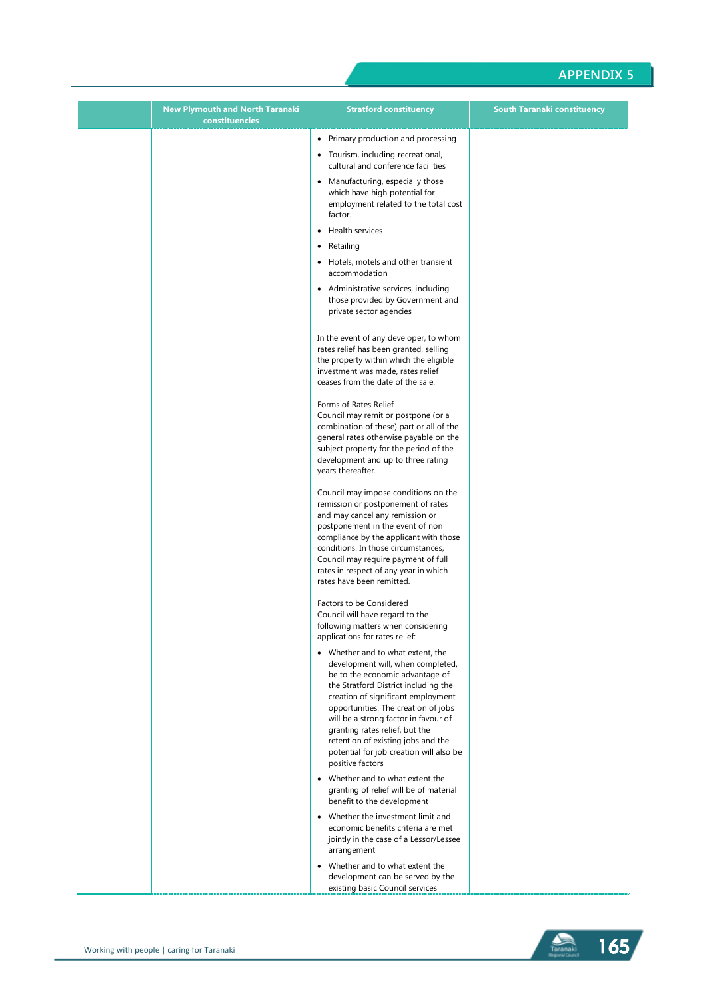| <b>New Plymouth and North Taranaki</b><br>constituencies | <b>Stratford constituency</b>                                                                                                                                                                                                                                                                                                                                                                                 | <b>South Taranaki constituency</b> |
|----------------------------------------------------------|---------------------------------------------------------------------------------------------------------------------------------------------------------------------------------------------------------------------------------------------------------------------------------------------------------------------------------------------------------------------------------------------------------------|------------------------------------|
|                                                          | • Primary production and processing                                                                                                                                                                                                                                                                                                                                                                           |                                    |
|                                                          | • Tourism, including recreational,<br>cultural and conference facilities                                                                                                                                                                                                                                                                                                                                      |                                    |
|                                                          | • Manufacturing, especially those<br>which have high potential for<br>employment related to the total cost<br>factor.                                                                                                                                                                                                                                                                                         |                                    |
|                                                          | • Health services                                                                                                                                                                                                                                                                                                                                                                                             |                                    |
|                                                          | • Retailing                                                                                                                                                                                                                                                                                                                                                                                                   |                                    |
|                                                          | • Hotels, motels and other transient<br>accommodation                                                                                                                                                                                                                                                                                                                                                         |                                    |
|                                                          | • Administrative services, including<br>those provided by Government and<br>private sector agencies                                                                                                                                                                                                                                                                                                           |                                    |
|                                                          | In the event of any developer, to whom<br>rates relief has been granted, selling<br>the property within which the eligible<br>investment was made, rates relief<br>ceases from the date of the sale.                                                                                                                                                                                                          |                                    |
|                                                          | Forms of Rates Relief<br>Council may remit or postpone (or a<br>combination of these) part or all of the<br>general rates otherwise payable on the<br>subject property for the period of the<br>development and up to three rating<br>years thereafter.                                                                                                                                                       |                                    |
|                                                          | Council may impose conditions on the<br>remission or postponement of rates<br>and may cancel any remission or<br>postponement in the event of non<br>compliance by the applicant with those<br>conditions. In those circumstances,<br>Council may require payment of full<br>rates in respect of any year in which<br>rates have been remitted.                                                               |                                    |
|                                                          | Factors to be Considered<br>Council will have regard to the<br>following matters when considering<br>applications for rates relief:                                                                                                                                                                                                                                                                           |                                    |
|                                                          | • Whether and to what extent, the<br>development will, when completed,<br>be to the economic advantage of<br>the Stratford District including the<br>creation of significant employment<br>opportunities. The creation of jobs<br>will be a strong factor in favour of<br>granting rates relief, but the<br>retention of existing jobs and the<br>potential for job creation will also be<br>positive factors |                                    |
|                                                          | • Whether and to what extent the<br>granting of relief will be of material<br>benefit to the development                                                                                                                                                                                                                                                                                                      |                                    |
|                                                          | • Whether the investment limit and<br>economic benefits criteria are met<br>jointly in the case of a Lessor/Lessee<br>arrangement                                                                                                                                                                                                                                                                             |                                    |
|                                                          | • Whether and to what extent the<br>development can be served by the<br>existing basic Council services                                                                                                                                                                                                                                                                                                       |                                    |

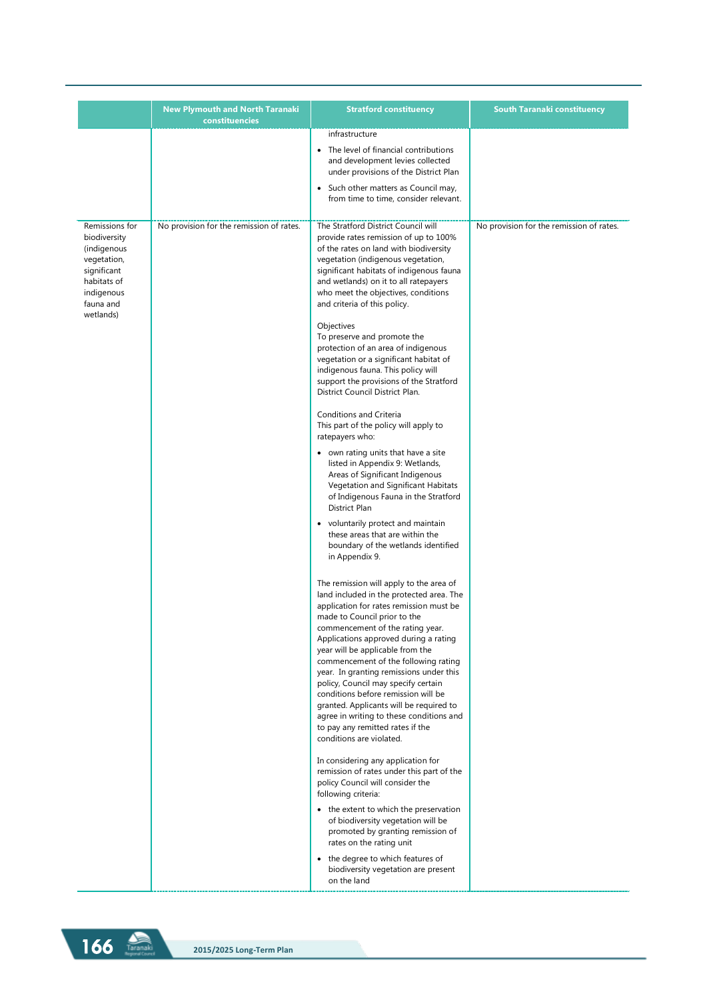|                                                                                                                                    | <b>New Plymouth and North Taranaki</b><br>constituencies | <b>Stratford constituency</b>                                                                                                                                                                                                                                                                                                                                                                                                                                                                                                                                                                           | South Taranaki constituency              |
|------------------------------------------------------------------------------------------------------------------------------------|----------------------------------------------------------|---------------------------------------------------------------------------------------------------------------------------------------------------------------------------------------------------------------------------------------------------------------------------------------------------------------------------------------------------------------------------------------------------------------------------------------------------------------------------------------------------------------------------------------------------------------------------------------------------------|------------------------------------------|
|                                                                                                                                    |                                                          | infrastructure                                                                                                                                                                                                                                                                                                                                                                                                                                                                                                                                                                                          |                                          |
|                                                                                                                                    |                                                          | • The level of financial contributions<br>and development levies collected<br>under provisions of the District Plan<br>• Such other matters as Council may,                                                                                                                                                                                                                                                                                                                                                                                                                                             |                                          |
|                                                                                                                                    |                                                          | from time to time, consider relevant.                                                                                                                                                                                                                                                                                                                                                                                                                                                                                                                                                                   |                                          |
| Remissions for<br>biodiversity<br>(indigenous<br>vegetation,<br>significant<br>habitats of<br>indigenous<br>fauna and<br>wetlands) | No provision for the remission of rates.                 | The Stratford District Council will<br>provide rates remission of up to 100%<br>of the rates on land with biodiversity<br>vegetation (indigenous vegetation,<br>significant habitats of indigenous fauna<br>and wetlands) on it to all ratepayers<br>who meet the objectives, conditions<br>and criteria of this policy.<br>Objectives<br>To preserve and promote the<br>protection of an area of indigenous<br>vegetation or a significant habitat of<br>indigenous fauna. This policy will<br>support the provisions of the Stratford<br>District Council District Plan.                              | No provision for the remission of rates. |
|                                                                                                                                    |                                                          | Conditions and Criteria<br>This part of the policy will apply to<br>ratepayers who:                                                                                                                                                                                                                                                                                                                                                                                                                                                                                                                     |                                          |
|                                                                                                                                    |                                                          | • own rating units that have a site<br>listed in Appendix 9: Wetlands,<br>Areas of Significant Indigenous<br>Vegetation and Significant Habitats<br>of Indigenous Fauna in the Stratford<br>District Plan                                                                                                                                                                                                                                                                                                                                                                                               |                                          |
|                                                                                                                                    |                                                          | • voluntarily protect and maintain<br>these areas that are within the<br>boundary of the wetlands identified<br>in Appendix 9.                                                                                                                                                                                                                                                                                                                                                                                                                                                                          |                                          |
|                                                                                                                                    |                                                          | The remission will apply to the area of<br>land included in the protected area. The<br>application for rates remission must be<br>made to Council prior to the<br>commencement of the rating year.<br>Applications approved during a rating<br>year will be applicable from the<br>commencement of the following rating<br>year. In granting remissions under this<br>policy, Council may specify certain<br>conditions before remission will be<br>granted. Applicants will be required to<br>agree in writing to these conditions and<br>to pay any remitted rates if the<br>conditions are violated. |                                          |
|                                                                                                                                    |                                                          | In considering any application for<br>remission of rates under this part of the<br>policy Council will consider the<br>following criteria:                                                                                                                                                                                                                                                                                                                                                                                                                                                              |                                          |
|                                                                                                                                    |                                                          | • the extent to which the preservation<br>of biodiversity vegetation will be<br>promoted by granting remission of<br>rates on the rating unit                                                                                                                                                                                                                                                                                                                                                                                                                                                           |                                          |
|                                                                                                                                    |                                                          | • the degree to which features of<br>biodiversity vegetation are present<br>on the land                                                                                                                                                                                                                                                                                                                                                                                                                                                                                                                 |                                          |

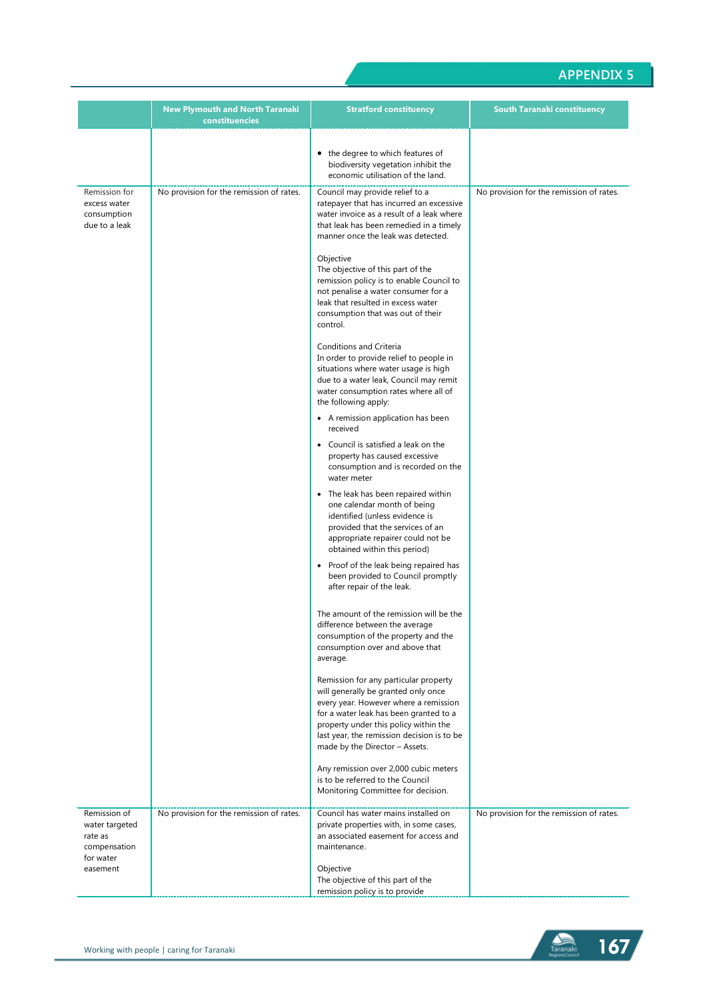|                                                                        | <b>New Plymouth and North Taranaki</b><br>constituencies | <b>Stratford constituency</b>                                                                                                                                                                                                                                                                                                                                                                                                                                                                                                                                                                                                                                                                                                                                                                                                                                                                                                                                                                                                                                                                                                                                                                                                                                                                                                                                                                                                                                                                                                                                                                                                             | <b>South Taranaki constituency</b>       |
|------------------------------------------------------------------------|----------------------------------------------------------|-------------------------------------------------------------------------------------------------------------------------------------------------------------------------------------------------------------------------------------------------------------------------------------------------------------------------------------------------------------------------------------------------------------------------------------------------------------------------------------------------------------------------------------------------------------------------------------------------------------------------------------------------------------------------------------------------------------------------------------------------------------------------------------------------------------------------------------------------------------------------------------------------------------------------------------------------------------------------------------------------------------------------------------------------------------------------------------------------------------------------------------------------------------------------------------------------------------------------------------------------------------------------------------------------------------------------------------------------------------------------------------------------------------------------------------------------------------------------------------------------------------------------------------------------------------------------------------------------------------------------------------------|------------------------------------------|
|                                                                        |                                                          | • the degree to which features of<br>biodiversity vegetation inhibit the<br>economic utilisation of the land.                                                                                                                                                                                                                                                                                                                                                                                                                                                                                                                                                                                                                                                                                                                                                                                                                                                                                                                                                                                                                                                                                                                                                                                                                                                                                                                                                                                                                                                                                                                             |                                          |
| Remission for<br>excess water<br>consumption<br>due to a leak          | No provision for the remission of rates.                 | Council may provide relief to a<br>ratepayer that has incurred an excessive<br>water invoice as a result of a leak where<br>that leak has been remedied in a timely<br>manner once the leak was detected.<br>Objective<br>The objective of this part of the<br>remission policy is to enable Council to<br>not penalise a water consumer for a<br>leak that resulted in excess water<br>consumption that was out of their<br>control.<br>Conditions and Criteria<br>In order to provide relief to people in<br>situations where water usage is high<br>due to a water leak, Council may remit<br>water consumption rates where all of<br>the following apply:<br>• A remission application has been<br>received<br>• Council is satisfied a leak on the<br>property has caused excessive<br>consumption and is recorded on the<br>water meter<br>• The leak has been repaired within<br>one calendar month of being<br>identified (unless evidence is<br>provided that the services of an<br>appropriate repairer could not be<br>obtained within this period)<br>• Proof of the leak being repaired has<br>been provided to Council promptly<br>after repair of the leak.<br>The amount of the remission will be the<br>difference between the average<br>consumption of the property and the<br>consumption over and above that<br>average.<br>Remission for any particular property<br>will generally be granted only once<br>every year. However where a remission<br>for a water leak has been granted to a<br>property under this policy within the<br>last year, the remission decision is to be<br>made by the Director - Assets. | No provision for the remission of rates. |
|                                                                        |                                                          | Any remission over 2,000 cubic meters<br>is to be referred to the Council<br>Monitoring Committee for decision.                                                                                                                                                                                                                                                                                                                                                                                                                                                                                                                                                                                                                                                                                                                                                                                                                                                                                                                                                                                                                                                                                                                                                                                                                                                                                                                                                                                                                                                                                                                           |                                          |
| Remission of<br>water targeted<br>rate as<br>compensation<br>for water | No provision for the remission of rates.                 | Council has water mains installed on<br>private properties with, in some cases,<br>an associated easement for access and<br>maintenance.                                                                                                                                                                                                                                                                                                                                                                                                                                                                                                                                                                                                                                                                                                                                                                                                                                                                                                                                                                                                                                                                                                                                                                                                                                                                                                                                                                                                                                                                                                  | No provision for the remission of rates. |
| easement                                                               |                                                          | Objective<br>The objective of this part of the<br>remission policy is to provide                                                                                                                                                                                                                                                                                                                                                                                                                                                                                                                                                                                                                                                                                                                                                                                                                                                                                                                                                                                                                                                                                                                                                                                                                                                                                                                                                                                                                                                                                                                                                          |                                          |

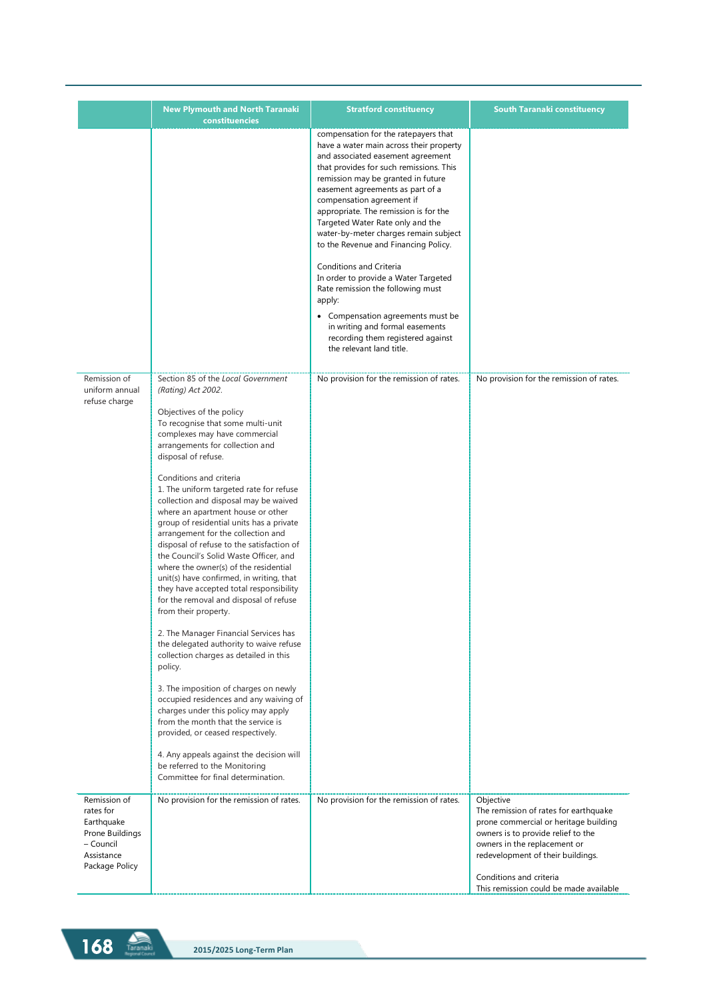|                                                                                                         | <b>New Plymouth and North Taranaki</b><br>constituencies                                                                                                                                                                                                                                                                                                                                                                                                                                                                                                                                                                                                                                                                                                                                                                                                                                                                                                                                                                                                                                                                                                                                                             | <b>Stratford constituency</b>                                                                                                                                                                                                                                                                                                                                                                                                                                                                                                                                                                                                                                                                   | <b>South Taranaki constituency</b>                                                                                                                                                                                                                                          |
|---------------------------------------------------------------------------------------------------------|----------------------------------------------------------------------------------------------------------------------------------------------------------------------------------------------------------------------------------------------------------------------------------------------------------------------------------------------------------------------------------------------------------------------------------------------------------------------------------------------------------------------------------------------------------------------------------------------------------------------------------------------------------------------------------------------------------------------------------------------------------------------------------------------------------------------------------------------------------------------------------------------------------------------------------------------------------------------------------------------------------------------------------------------------------------------------------------------------------------------------------------------------------------------------------------------------------------------|-------------------------------------------------------------------------------------------------------------------------------------------------------------------------------------------------------------------------------------------------------------------------------------------------------------------------------------------------------------------------------------------------------------------------------------------------------------------------------------------------------------------------------------------------------------------------------------------------------------------------------------------------------------------------------------------------|-----------------------------------------------------------------------------------------------------------------------------------------------------------------------------------------------------------------------------------------------------------------------------|
|                                                                                                         |                                                                                                                                                                                                                                                                                                                                                                                                                                                                                                                                                                                                                                                                                                                                                                                                                                                                                                                                                                                                                                                                                                                                                                                                                      | compensation for the ratepayers that<br>have a water main across their property<br>and associated easement agreement<br>that provides for such remissions. This<br>remission may be granted in future<br>easement agreements as part of a<br>compensation agreement if<br>appropriate. The remission is for the<br>Targeted Water Rate only and the<br>water-by-meter charges remain subject<br>to the Revenue and Financing Policy.<br>Conditions and Criteria<br>In order to provide a Water Targeted<br>Rate remission the following must<br>apply:<br>• Compensation agreements must be<br>in writing and formal easements<br>recording them registered against<br>the relevant land title. |                                                                                                                                                                                                                                                                             |
| Remission of<br>uniform annual<br>refuse charge                                                         | Section 85 of the Local Government<br>(Rating) Act 2002.<br>Objectives of the policy<br>To recognise that some multi-unit<br>complexes may have commercial<br>arrangements for collection and<br>disposal of refuse.<br>Conditions and criteria<br>1. The uniform targeted rate for refuse<br>collection and disposal may be waived<br>where an apartment house or other<br>group of residential units has a private<br>arrangement for the collection and<br>disposal of refuse to the satisfaction of<br>the Council's Solid Waste Officer, and<br>where the owner(s) of the residential<br>unit(s) have confirmed, in writing, that<br>they have accepted total responsibility<br>for the removal and disposal of refuse<br>from their property.<br>2. The Manager Financial Services has<br>the delegated authority to waive refuse<br>collection charges as detailed in this<br>policy.<br>3. The imposition of charges on newly<br>occupied residences and any waiving of<br>charges under this policy may apply<br>from the month that the service is<br>provided, or ceased respectively.<br>4. Any appeals against the decision will<br>be referred to the Monitoring<br>Committee for final determination. | No provision for the remission of rates.                                                                                                                                                                                                                                                                                                                                                                                                                                                                                                                                                                                                                                                        | No provision for the remission of rates.                                                                                                                                                                                                                                    |
| Remission of<br>rates for<br>Earthquake<br>Prone Buildings<br>- Council<br>Assistance<br>Package Policy | No provision for the remission of rates.                                                                                                                                                                                                                                                                                                                                                                                                                                                                                                                                                                                                                                                                                                                                                                                                                                                                                                                                                                                                                                                                                                                                                                             | No provision for the remission of rates.                                                                                                                                                                                                                                                                                                                                                                                                                                                                                                                                                                                                                                                        | Objective<br>The remission of rates for earthquake<br>prone commercial or heritage building<br>owners is to provide relief to the<br>owners in the replacement or<br>redevelopment of their buildings.<br>Conditions and criteria<br>This remission could be made available |

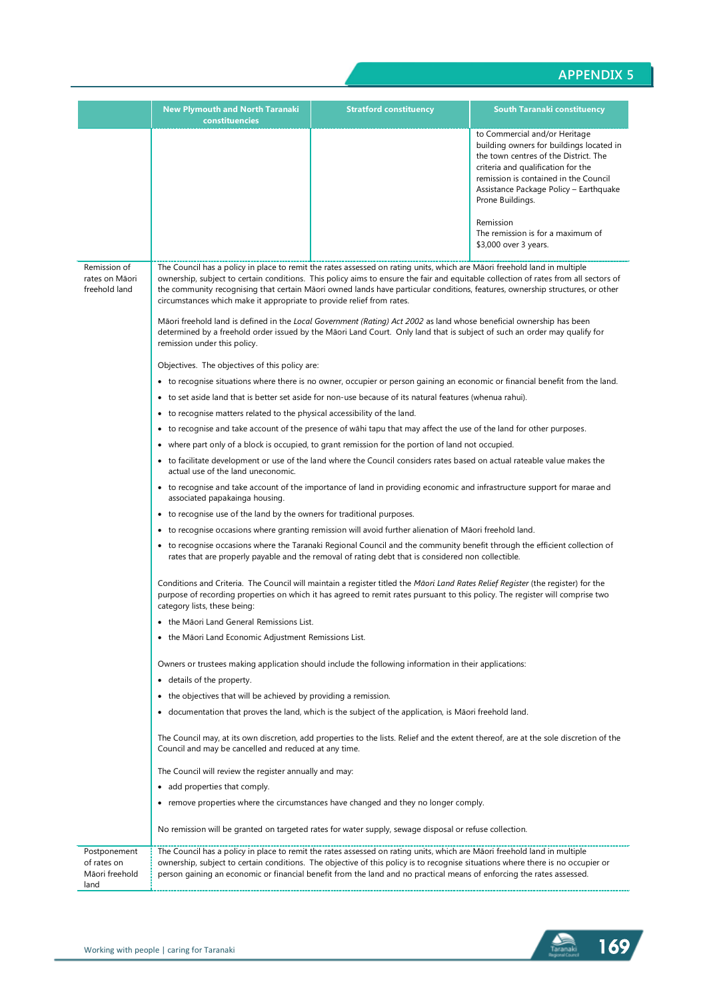|                                                       | <b>New Plymouth and North Taranaki</b><br>constituencies                                                                                                                                                                                                                                                                                                                                                                                                                  | <b>Stratford constituency</b>                                                                                                                                                                                                                                                                                                                                                        | South Taranaki constituency                                                                                                                                                                                                                                     |  |
|-------------------------------------------------------|---------------------------------------------------------------------------------------------------------------------------------------------------------------------------------------------------------------------------------------------------------------------------------------------------------------------------------------------------------------------------------------------------------------------------------------------------------------------------|--------------------------------------------------------------------------------------------------------------------------------------------------------------------------------------------------------------------------------------------------------------------------------------------------------------------------------------------------------------------------------------|-----------------------------------------------------------------------------------------------------------------------------------------------------------------------------------------------------------------------------------------------------------------|--|
|                                                       |                                                                                                                                                                                                                                                                                                                                                                                                                                                                           |                                                                                                                                                                                                                                                                                                                                                                                      | to Commercial and/or Heritage<br>building owners for buildings located in<br>the town centres of the District. The<br>criteria and qualification for the<br>remission is contained in the Council<br>Assistance Package Policy - Earthquake<br>Prone Buildings. |  |
|                                                       |                                                                                                                                                                                                                                                                                                                                                                                                                                                                           |                                                                                                                                                                                                                                                                                                                                                                                      | Remission<br>The remission is for a maximum of<br>\$3,000 over 3 years.                                                                                                                                                                                         |  |
| Remission of<br>rates on Māori<br>freehold land       | The Council has a policy in place to remit the rates assessed on rating units, which are Māori freehold land in multiple<br>ownership, subject to certain conditions. This policy aims to ensure the fair and equitable collection of rates from all sectors of<br>the community recognising that certain Māori owned lands have particular conditions, features, ownership structures, or other<br>circumstances which make it appropriate to provide relief from rates. |                                                                                                                                                                                                                                                                                                                                                                                      |                                                                                                                                                                                                                                                                 |  |
|                                                       | remission under this policy.                                                                                                                                                                                                                                                                                                                                                                                                                                              | Māori freehold land is defined in the Local Government (Rating) Act 2002 as land whose beneficial ownership has been<br>determined by a freehold order issued by the Māori Land Court. Only land that is subject of such an order may qualify for                                                                                                                                    |                                                                                                                                                                                                                                                                 |  |
|                                                       | Objectives. The objectives of this policy are:                                                                                                                                                                                                                                                                                                                                                                                                                            |                                                                                                                                                                                                                                                                                                                                                                                      |                                                                                                                                                                                                                                                                 |  |
|                                                       |                                                                                                                                                                                                                                                                                                                                                                                                                                                                           | • to recognise situations where there is no owner, occupier or person gaining an economic or financial benefit from the land.                                                                                                                                                                                                                                                        |                                                                                                                                                                                                                                                                 |  |
|                                                       |                                                                                                                                                                                                                                                                                                                                                                                                                                                                           | • to set aside land that is better set aside for non-use because of its natural features (whenua rahui).                                                                                                                                                                                                                                                                             |                                                                                                                                                                                                                                                                 |  |
|                                                       | • to recognise matters related to the physical accessibility of the land.                                                                                                                                                                                                                                                                                                                                                                                                 |                                                                                                                                                                                                                                                                                                                                                                                      |                                                                                                                                                                                                                                                                 |  |
|                                                       | ٠                                                                                                                                                                                                                                                                                                                                                                                                                                                                         | to recognise and take account of the presence of wahi tapu that may affect the use of the land for other purposes.                                                                                                                                                                                                                                                                   |                                                                                                                                                                                                                                                                 |  |
|                                                       |                                                                                                                                                                                                                                                                                                                                                                                                                                                                           | where part only of a block is occupied, to grant remission for the portion of land not occupied.                                                                                                                                                                                                                                                                                     |                                                                                                                                                                                                                                                                 |  |
|                                                       | • to facilitate development or use of the land where the Council considers rates based on actual rateable value makes the<br>actual use of the land uneconomic.<br>• to recognise and take account of the importance of land in providing economic and infrastructure support for marae and<br>associated papakainga housing.                                                                                                                                             |                                                                                                                                                                                                                                                                                                                                                                                      |                                                                                                                                                                                                                                                                 |  |
|                                                       |                                                                                                                                                                                                                                                                                                                                                                                                                                                                           |                                                                                                                                                                                                                                                                                                                                                                                      |                                                                                                                                                                                                                                                                 |  |
|                                                       | • to recognise use of the land by the owners for traditional purposes.                                                                                                                                                                                                                                                                                                                                                                                                    |                                                                                                                                                                                                                                                                                                                                                                                      |                                                                                                                                                                                                                                                                 |  |
|                                                       | to recognise occasions where granting remission will avoid further alienation of Māori freehold land.                                                                                                                                                                                                                                                                                                                                                                     |                                                                                                                                                                                                                                                                                                                                                                                      |                                                                                                                                                                                                                                                                 |  |
|                                                       | • to recognise occasions where the Taranaki Regional Council and the community benefit through the efficient collection of<br>rates that are properly payable and the removal of rating debt that is considered non collectible.                                                                                                                                                                                                                                          |                                                                                                                                                                                                                                                                                                                                                                                      |                                                                                                                                                                                                                                                                 |  |
|                                                       | category lists, these being:                                                                                                                                                                                                                                                                                                                                                                                                                                              | Conditions and Criteria. The Council will maintain a register titled the Maori Land Rates Relief Register (the register) for the<br>purpose of recording properties on which it has agreed to remit rates pursuant to this policy. The register will comprise two                                                                                                                    |                                                                                                                                                                                                                                                                 |  |
|                                                       | • the Māori Land General Remissions List.                                                                                                                                                                                                                                                                                                                                                                                                                                 |                                                                                                                                                                                                                                                                                                                                                                                      |                                                                                                                                                                                                                                                                 |  |
|                                                       | • the Māori Land Economic Adjustment Remissions List.                                                                                                                                                                                                                                                                                                                                                                                                                     |                                                                                                                                                                                                                                                                                                                                                                                      |                                                                                                                                                                                                                                                                 |  |
|                                                       |                                                                                                                                                                                                                                                                                                                                                                                                                                                                           | Owners or trustees making application should include the following information in their applications:                                                                                                                                                                                                                                                                                |                                                                                                                                                                                                                                                                 |  |
|                                                       | details of the property.<br>٠                                                                                                                                                                                                                                                                                                                                                                                                                                             |                                                                                                                                                                                                                                                                                                                                                                                      |                                                                                                                                                                                                                                                                 |  |
|                                                       | the objectives that will be achieved by providing a remission.<br>٠                                                                                                                                                                                                                                                                                                                                                                                                       |                                                                                                                                                                                                                                                                                                                                                                                      |                                                                                                                                                                                                                                                                 |  |
|                                                       | ٠                                                                                                                                                                                                                                                                                                                                                                                                                                                                         | documentation that proves the land, which is the subject of the application, is Māori freehold land.                                                                                                                                                                                                                                                                                 |                                                                                                                                                                                                                                                                 |  |
|                                                       | Council and may be cancelled and reduced at any time.                                                                                                                                                                                                                                                                                                                                                                                                                     | The Council may, at its own discretion, add properties to the lists. Relief and the extent thereof, are at the sole discretion of the                                                                                                                                                                                                                                                |                                                                                                                                                                                                                                                                 |  |
|                                                       | The Council will review the register annually and may:                                                                                                                                                                                                                                                                                                                                                                                                                    |                                                                                                                                                                                                                                                                                                                                                                                      |                                                                                                                                                                                                                                                                 |  |
|                                                       | • add properties that comply.                                                                                                                                                                                                                                                                                                                                                                                                                                             |                                                                                                                                                                                                                                                                                                                                                                                      |                                                                                                                                                                                                                                                                 |  |
|                                                       |                                                                                                                                                                                                                                                                                                                                                                                                                                                                           | • remove properties where the circumstances have changed and they no longer comply.                                                                                                                                                                                                                                                                                                  |                                                                                                                                                                                                                                                                 |  |
|                                                       |                                                                                                                                                                                                                                                                                                                                                                                                                                                                           | No remission will be granted on targeted rates for water supply, sewage disposal or refuse collection.                                                                                                                                                                                                                                                                               |                                                                                                                                                                                                                                                                 |  |
| Postponement<br>of rates on<br>Māori freehold<br>land |                                                                                                                                                                                                                                                                                                                                                                                                                                                                           | The Council has a policy in place to remit the rates assessed on rating units, which are Māori freehold land in multiple<br>ownership, subject to certain conditions. The objective of this policy is to recognise situations where there is no occupier or<br>person gaining an economic or financial benefit from the land and no practical means of enforcing the rates assessed. |                                                                                                                                                                                                                                                                 |  |